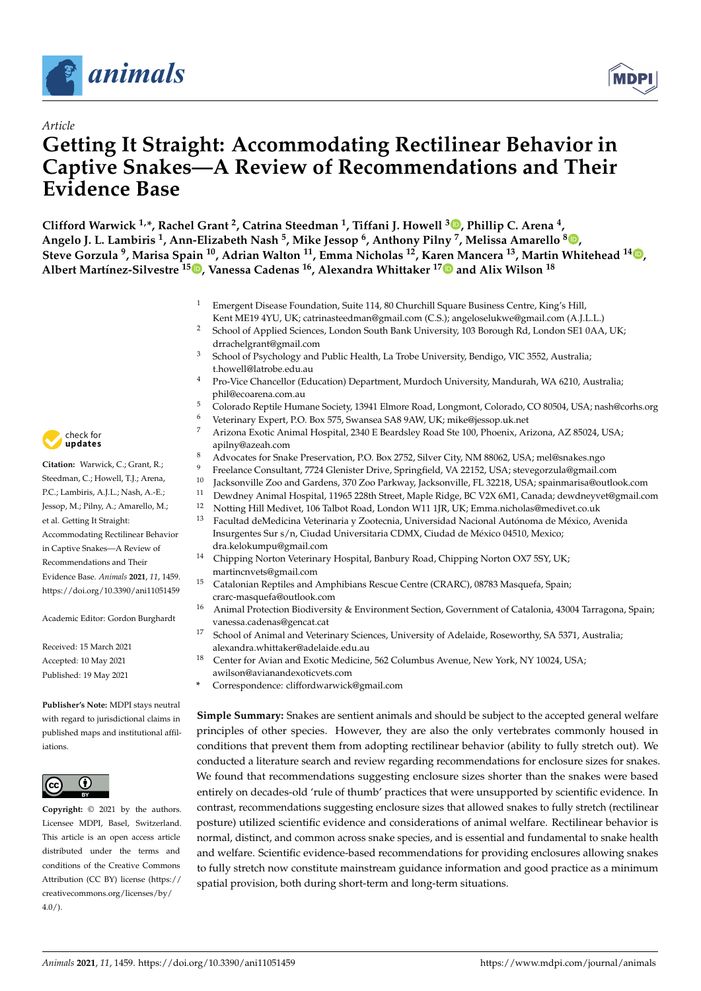

*Article*



# **Getting It Straight: Accommodating Rectilinear Behavior in Captive Snakes—A Review of Recommendations and Their Evidence Base**

**Clifford Warwick 1,\*, Rachel Grant <sup>2</sup> , Catrina Steedman <sup>1</sup> , Tiffani J. Howell <sup>3</sup> [,](https://orcid.org/0000-0002-4932-5792) Phillip C. Arena <sup>4</sup> ,**  $^6$  Angelo J. L. Lambiris <sup>1</sup>[,](https://orcid.org/0000-0002-1596-5476) Ann-Elizabeth Nash <sup>5</sup>, Mike Jessop  $^6$ , Anthony Pilny <sup>7</sup>, Melissa Amarello  $^8$   $\bullet$ **Steve Gorzula <sup>9</sup> , Marisa Spain <sup>10</sup>, Adrian Walton <sup>11</sup>, Emma Nicholas <sup>12</sup>, Karen Mancera <sup>13</sup>, Martin Whitehead <sup>14</sup> [,](https://orcid.org/0000-0002-9872-8707) Albert Martínez-Silvestre <sup>15</sup> [,](https://orcid.org/0000-0003-3382-6784) Vanessa Cadenas <sup>16</sup>, Alexandra Whittaker 1[7](https://orcid.org/0000-0001-9011-8296) and Alix Wilson <sup>18</sup>**

- <sup>1</sup> Emergent Disease Foundation, Suite 114, 80 Churchill Square Business Centre, King's Hill, Kent ME19 4YU, UK; catrinasteedman@gmail.com (C.S.); angeloselukwe@gmail.com (A.J.L.L.)
- <sup>2</sup> School of Applied Sciences, London South Bank University, 103 Borough Rd, London SE1 0AA, UK; drrachelgrant@gmail.com
- <sup>3</sup> School of Psychology and Public Health, La Trobe University, Bendigo, VIC 3552, Australia; t.howell@latrobe.edu.au
- <sup>4</sup> Pro-Vice Chancellor (Education) Department, Murdoch University, Mandurah, WA 6210, Australia; phil@ecoarena.com.au
- 5 Colorado Reptile Humane Society, 13941 Elmore Road, Longmont, Colorado, CO 80504, USA; nash@corhs.org<br>6 Netwig and Elmort, B.O. Bey 575, Courage CA 8,0 AM, UK; mille@isearca alugat
- <sup>6</sup> Veterinary Expert, P.O. Box 575, Swansea SA8 9AW, UK; mike@jessop.uk.net
- <sup>7</sup> Arizona Exotic Animal Hospital, 2340 E Beardsley Road Ste 100, Phoenix, Arizona, AZ 85024, USA; apilny@azeah.com
- <sup>8</sup> Advocates for Snake Preservation, P.O. Box 2752, Silver City, NM 88062, USA; mel@snakes.ngo
- 9 Freelance Consultant, 7724 Glenister Drive, Springfield, VA 22152, USA; stevegorzula@gmail.com<br><sup>10</sup> Iselsenzilla Zoo and Cardena 270 Zoo Barkuay, Iselsenzilla, EL 22218, USA; spainmarica@outla
- <sup>10</sup> Jacksonville Zoo and Gardens, 370 Zoo Parkway, Jacksonville, FL 32218, USA; spainmarisa@outlook.com
- <sup>11</sup> Dewdney Animal Hospital, 11965 228th Street, Maple Ridge, BC V2X 6M1, Canada; dewdneyvet@gmail.com<br><sup>12</sup> Notting Hill Mediugt, 106 Talbet Road, London W11 1IP, JJV: Emma nighelas@madiugt.co.uk
- <sup>12</sup> Notting Hill Medivet, 106 Talbot Road, London W11 1JR, UK; Emma.nicholas@medivet.co.uk
- <sup>13</sup> Facultad deMedicina Veterinaria y Zootecnia, Universidad Nacional Autónoma de México, Avenida Insurgentes Sur s/n, Ciudad Universitaria CDMX, Ciudad de México 04510, Mexico; dra.kelokumpu@gmail.com
- <sup>14</sup> Chipping Norton Veterinary Hospital, Banbury Road, Chipping Norton OX7 5SY, UK; martincnvets@gmail.com
- <sup>15</sup> Catalonian Reptiles and Amphibians Rescue Centre (CRARC), 08783 Masquefa, Spain; crarc-masquefa@outlook.com
- <sup>16</sup> Animal Protection Biodiversity & Environment Section, Government of Catalonia, 43004 Tarragona, Spain; vanessa.cadenas@gencat.cat
- <sup>17</sup> School of Animal and Veterinary Sciences, University of Adelaide, Roseworthy, SA 5371, Australia; alexandra.whittaker@adelaide.edu.au
- <sup>18</sup> Center for Avian and Exotic Medicine, 562 Columbus Avenue, New York, NY 10024, USA; awilson@avianandexoticvets.com
- **\*** Correspondence: cliffordwarwick@gmail.com

**Simple Summary:** Snakes are sentient animals and should be subject to the accepted general welfare principles of other species. However, they are also the only vertebrates commonly housed in conditions that prevent them from adopting rectilinear behavior (ability to fully stretch out). We conducted a literature search and review regarding recommendations for enclosure sizes for snakes. We found that recommendations suggesting enclosure sizes shorter than the snakes were based entirely on decades-old 'rule of thumb' practices that were unsupported by scientific evidence. In contrast, recommendations suggesting enclosure sizes that allowed snakes to fully stretch (rectilinear posture) utilized scientific evidence and considerations of animal welfare. Rectilinear behavior is normal, distinct, and common across snake species, and is essential and fundamental to snake health and welfare. Scientific evidence-based recommendations for providing enclosures allowing snakes to fully stretch now constitute mainstream guidance information and good practice as a minimum spatial provision, both during short-term and long-term situations.



Citation: Warwick, C: Grant, R: Steedman, C.; Howell, T.J.; Arena, P.C.; Lambiris, A.J.L.; Nash, A.-E.; Jessop, M.; Pilny, A.; Amarello, M.; et al. Getting It Straight: Accommodating Rectilinear Behavior in Captive Snakes—A Review of Recommendations and Their Evidence Base. *Animals* **2021**, *11*, 1459. <https://doi.org/10.3390/ani11051459>

Academic Editor: Gordon Burghardt

Received: 15 March 2021 Accepted: 10 May 2021 Published: 19 May 2021

**Publisher's Note:** MDPI stays neutral with regard to jurisdictional claims in published maps and institutional affiliations.



**Copyright:** © 2021 by the authors. Licensee MDPI, Basel, Switzerland. This article is an open access article distributed under the terms and conditions of the Creative Commons Attribution (CC BY) license (https:/[/](https://creativecommons.org/licenses/by/4.0/) [creativecommons.org/licenses/by/](https://creativecommons.org/licenses/by/4.0/)  $4.0/$ ).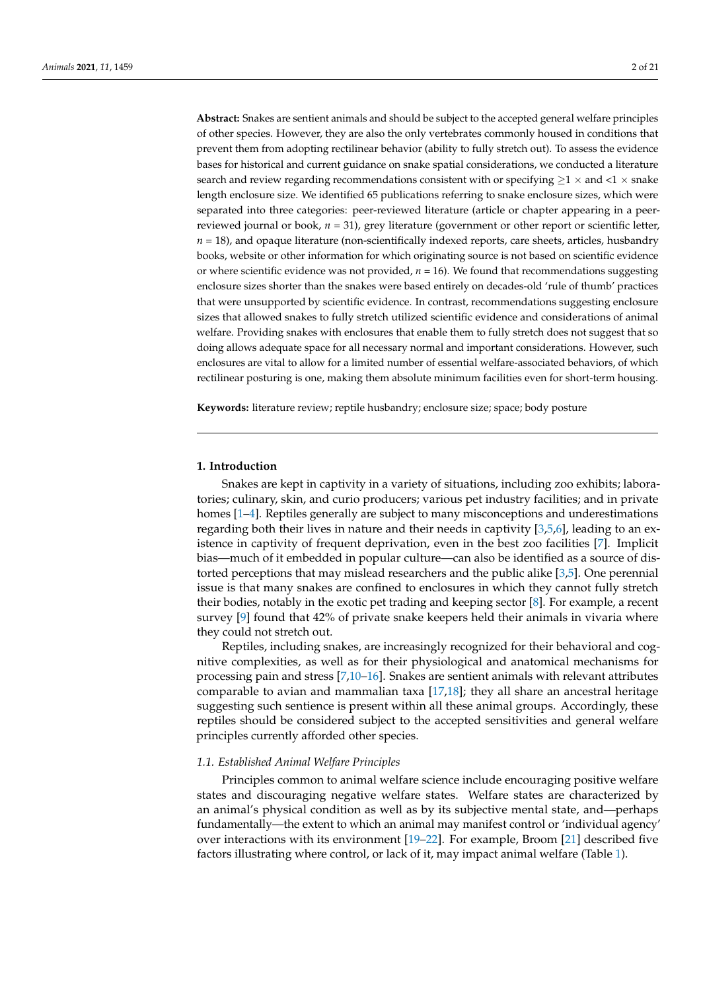**Abstract:** Snakes are sentient animals and should be subject to the accepted general welfare principles of other species. However, they are also the only vertebrates commonly housed in conditions that prevent them from adopting rectilinear behavior (ability to fully stretch out). To assess the evidence bases for historical and current guidance on snake spatial considerations, we conducted a literature search and review regarding recommendations consistent with or specifying  $\geq 1 \times$  and <1  $\times$  snake length enclosure size. We identified 65 publications referring to snake enclosure sizes, which were separated into three categories: peer-reviewed literature (article or chapter appearing in a peerreviewed journal or book, *n* = 31), grey literature (government or other report or scientific letter,  $n = 18$ ), and opaque literature (non-scientifically indexed reports, care sheets, articles, husbandry books, website or other information for which originating source is not based on scientific evidence or where scientific evidence was not provided,  $n = 16$ ). We found that recommendations suggesting enclosure sizes shorter than the snakes were based entirely on decades-old 'rule of thumb' practices that were unsupported by scientific evidence. In contrast, recommendations suggesting enclosure sizes that allowed snakes to fully stretch utilized scientific evidence and considerations of animal welfare. Providing snakes with enclosures that enable them to fully stretch does not suggest that so doing allows adequate space for all necessary normal and important considerations. However, such enclosures are vital to allow for a limited number of essential welfare-associated behaviors, of which rectilinear posturing is one, making them absolute minimum facilities even for short-term housing.

**Keywords:** literature review; reptile husbandry; enclosure size; space; body posture

# **1. Introduction**

Snakes are kept in captivity in a variety of situations, including zoo exhibits; laboratories; culinary, skin, and curio producers; various pet industry facilities; and in private homes [\[1–](#page-15-0)[4\]](#page-15-1). Reptiles generally are subject to many misconceptions and underestimations regarding both their lives in nature and their needs in captivity [\[3](#page-15-2)[,5](#page-15-3)[,6\]](#page-15-4), leading to an existence in captivity of frequent deprivation, even in the best zoo facilities [\[7\]](#page-15-5). Implicit bias—much of it embedded in popular culture—can also be identified as a source of distorted perceptions that may mislead researchers and the public alike [\[3,](#page-15-2)[5\]](#page-15-3). One perennial issue is that many snakes are confined to enclosures in which they cannot fully stretch their bodies, notably in the exotic pet trading and keeping sector [\[8\]](#page-15-6). For example, a recent survey [\[9\]](#page-16-0) found that 42% of private snake keepers held their animals in vivaria where they could not stretch out.

Reptiles, including snakes, are increasingly recognized for their behavioral and cognitive complexities, as well as for their physiological and anatomical mechanisms for processing pain and stress [\[7](#page-15-5)[,10–](#page-16-1)[16\]](#page-16-2). Snakes are sentient animals with relevant attributes comparable to avian and mammalian taxa [\[17](#page-16-3)[,18\]](#page-16-4); they all share an ancestral heritage suggesting such sentience is present within all these animal groups. Accordingly, these reptiles should be considered subject to the accepted sensitivities and general welfare principles currently afforded other species.

### *1.1. Established Animal Welfare Principles*

Principles common to animal welfare science include encouraging positive welfare states and discouraging negative welfare states. Welfare states are characterized by an animal's physical condition as well as by its subjective mental state, and—perhaps fundamentally—the extent to which an animal may manifest control or 'individual agency' over interactions with its environment [\[19–](#page-16-5)[22\]](#page-16-6). For example, Broom [\[21\]](#page-16-7) described five factors illustrating where control, or lack of it, may impact animal welfare (Table [1\)](#page-2-0).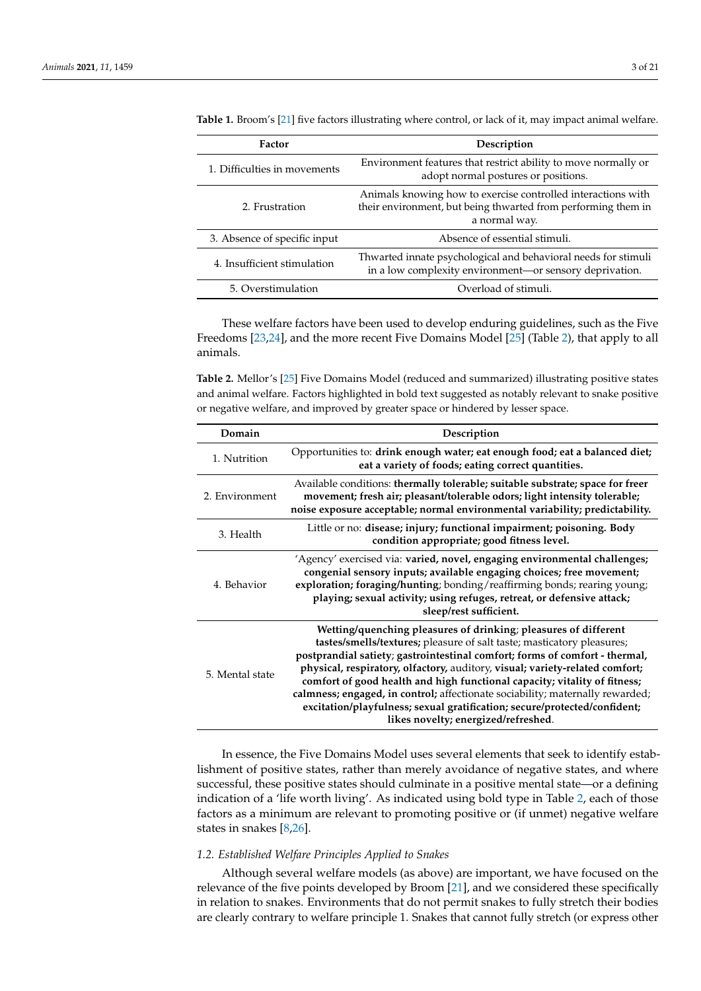| Factor                       | Description                                                                                                                                    |  |
|------------------------------|------------------------------------------------------------------------------------------------------------------------------------------------|--|
| 1. Difficulties in movements | Environment features that restrict ability to move normally or<br>adopt normal postures or positions.                                          |  |
| 2. Frustration               | Animals knowing how to exercise controlled interactions with<br>their environment, but being thwarted from performing them in<br>a normal way. |  |
| 3. Absence of specific input | Absence of essential stimuli.                                                                                                                  |  |
| 4. Insufficient stimulation  | Thwarted innate psychological and behavioral needs for stimuli<br>in a low complexity environment-or sensory deprivation.                      |  |
| 5. Overstimulation           | Overload of stimuli.                                                                                                                           |  |

<span id="page-2-0"></span>**Table 1.** Broom's [\[21\]](#page-16-7) five factors illustrating where control, or lack of it, may impact animal welfare.

These welfare factors have been used to develop enduring guidelines, such as the Five Freedoms [\[23](#page-16-8)[,24\]](#page-16-9), and the more recent Five Domains Model [\[25\]](#page-16-10) (Table [2\)](#page-2-1), that apply to all animals.

<span id="page-2-1"></span>**Table 2.** Mellor's [\[25\]](#page-16-10) Five Domains Model (reduced and summarized) illustrating positive states and animal welfare. Factors highlighted in bold text suggested as notably relevant to snake positive or negative welfare, and improved by greater space or hindered by lesser space.

| Domain          | Description                                                                                                                                                                                                                                                                                                                                                                                                                                                                                                                                                                                |
|-----------------|--------------------------------------------------------------------------------------------------------------------------------------------------------------------------------------------------------------------------------------------------------------------------------------------------------------------------------------------------------------------------------------------------------------------------------------------------------------------------------------------------------------------------------------------------------------------------------------------|
| 1. Nutrition    | Opportunities to: drink enough water; eat enough food; eat a balanced diet;<br>eat a variety of foods; eating correct quantities.                                                                                                                                                                                                                                                                                                                                                                                                                                                          |
| 2. Environment  | Available conditions: thermally tolerable; suitable substrate; space for freer<br>movement; fresh air; pleasant/tolerable odors; light intensity tolerable;<br>noise exposure acceptable; normal environmental variability; predictability.                                                                                                                                                                                                                                                                                                                                                |
| 3. Health       | Little or no: disease; injury; functional impairment; poisoning. Body<br>condition appropriate; good fitness level.                                                                                                                                                                                                                                                                                                                                                                                                                                                                        |
| 4. Behavior     | 'Agency' exercised via: varied, novel, engaging environmental challenges;<br>congenial sensory inputs; available engaging choices; free movement;<br>exploration; foraging/hunting; bonding/reaffirming bonds; rearing young;<br>playing; sexual activity; using refuges, retreat, or defensive attack;<br>sleep/rest sufficient.                                                                                                                                                                                                                                                          |
| 5. Mental state | Wetting/quenching pleasures of drinking; pleasures of different<br>tastes/smells/textures; pleasure of salt taste; masticatory pleasures;<br>postprandial satiety; gastrointestinal comfort; forms of comfort - thermal,<br>physical, respiratory, olfactory, auditory, visual; variety-related comfort;<br>comfort of good health and high functional capacity; vitality of fitness;<br>calmness; engaged, in control; affectionate sociability; maternally rewarded;<br>excitation/playfulness; sexual gratification; secure/protected/confident;<br>likes novelty; energized/refreshed. |

In essence, the Five Domains Model uses several elements that seek to identify establishment of positive states, rather than merely avoidance of negative states, and where successful, these positive states should culminate in a positive mental state—or a defining indication of a 'life worth living'. As indicated using bold type in Table [2,](#page-2-1) each of those factors as a minimum are relevant to promoting positive or (if unmet) negative welfare states in snakes [\[8](#page-15-6)[,26\]](#page-16-11).

## *1.2. Established Welfare Principles Applied to Snakes*

Although several welfare models (as above) are important, we have focused on the relevance of the five points developed by Broom [\[21\]](#page-16-7), and we considered these specifically in relation to snakes. Environments that do not permit snakes to fully stretch their bodies are clearly contrary to welfare principle 1. Snakes that cannot fully stretch (or express other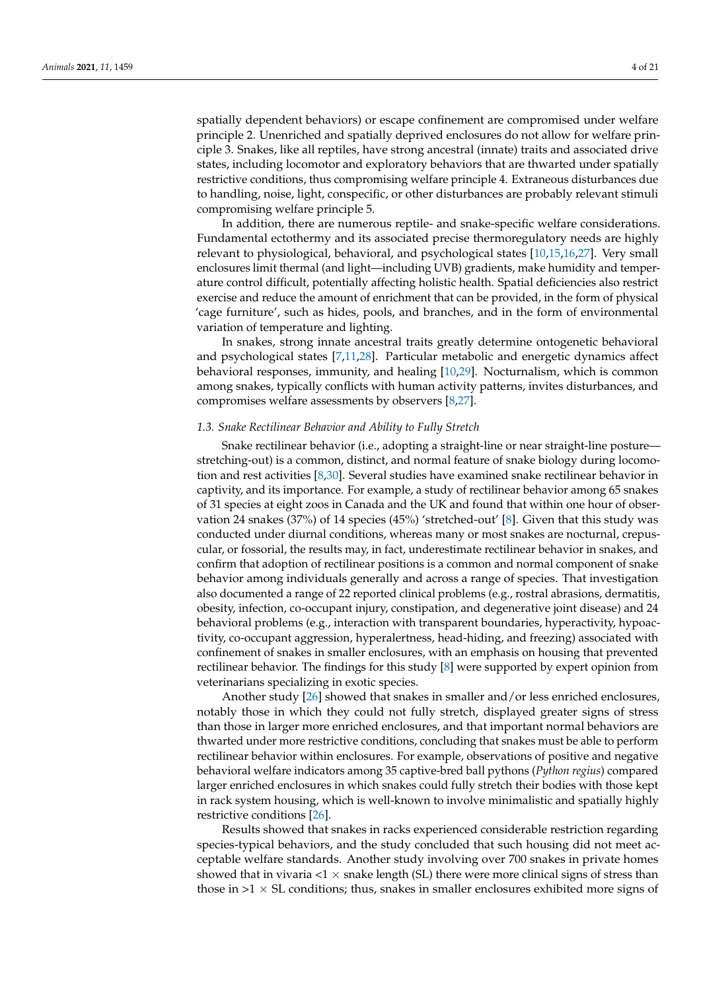spatially dependent behaviors) or escape confinement are compromised under welfare principle 2. Unenriched and spatially deprived enclosures do not allow for welfare principle 3. Snakes, like all reptiles, have strong ancestral (innate) traits and associated drive states, including locomotor and exploratory behaviors that are thwarted under spatially restrictive conditions, thus compromising welfare principle 4. Extraneous disturbances due to handling, noise, light, conspecific, or other disturbances are probably relevant stimuli compromising welfare principle 5.

In addition, there are numerous reptile- and snake-specific welfare considerations. Fundamental ectothermy and its associated precise thermoregulatory needs are highly relevant to physiological, behavioral, and psychological states [\[10,](#page-16-1)[15,](#page-16-12)[16,](#page-16-2)[27\]](#page-16-13). Very small enclosures limit thermal (and light—including UVB) gradients, make humidity and temperature control difficult, potentially affecting holistic health. Spatial deficiencies also restrict exercise and reduce the amount of enrichment that can be provided, in the form of physical 'cage furniture', such as hides, pools, and branches, and in the form of environmental variation of temperature and lighting.

In snakes, strong innate ancestral traits greatly determine ontogenetic behavioral and psychological states [\[7](#page-15-5)[,11](#page-16-14)[,28\]](#page-16-15). Particular metabolic and energetic dynamics affect behavioral responses, immunity, and healing [\[10](#page-16-1)[,29\]](#page-16-16). Nocturnalism, which is common among snakes, typically conflicts with human activity patterns, invites disturbances, and compromises welfare assessments by observers [\[8,](#page-15-6)[27\]](#page-16-13).

## *1.3. Snake Rectilinear Behavior and Ability to Fully Stretch*

Snake rectilinear behavior (i.e., adopting a straight-line or near straight-line posture stretching-out) is a common, distinct, and normal feature of snake biology during locomotion and rest activities [\[8,](#page-15-6)[30\]](#page-16-17). Several studies have examined snake rectilinear behavior in captivity, and its importance. For example, a study of rectilinear behavior among 65 snakes of 31 species at eight zoos in Canada and the UK and found that within one hour of observation 24 snakes (37%) of 14 species (45%) 'stretched-out' [\[8\]](#page-15-6). Given that this study was conducted under diurnal conditions, whereas many or most snakes are nocturnal, crepuscular, or fossorial, the results may, in fact, underestimate rectilinear behavior in snakes, and confirm that adoption of rectilinear positions is a common and normal component of snake behavior among individuals generally and across a range of species. That investigation also documented a range of 22 reported clinical problems (e.g., rostral abrasions, dermatitis, obesity, infection, co-occupant injury, constipation, and degenerative joint disease) and 24 behavioral problems (e.g., interaction with transparent boundaries, hyperactivity, hypoactivity, co-occupant aggression, hyperalertness, head-hiding, and freezing) associated with confinement of snakes in smaller enclosures, with an emphasis on housing that prevented rectilinear behavior. The findings for this study [\[8\]](#page-15-6) were supported by expert opinion from veterinarians specializing in exotic species.

Another study [\[26\]](#page-16-11) showed that snakes in smaller and/or less enriched enclosures, notably those in which they could not fully stretch, displayed greater signs of stress than those in larger more enriched enclosures, and that important normal behaviors are thwarted under more restrictive conditions, concluding that snakes must be able to perform rectilinear behavior within enclosures. For example, observations of positive and negative behavioral welfare indicators among 35 captive-bred ball pythons (*Python regius*) compared larger enriched enclosures in which snakes could fully stretch their bodies with those kept in rack system housing, which is well-known to involve minimalistic and spatially highly restrictive conditions [\[26\]](#page-16-11).

Results showed that snakes in racks experienced considerable restriction regarding species-typical behaviors, and the study concluded that such housing did not meet acceptable welfare standards. Another study involving over 700 snakes in private homes showed that in vivaria  $< 1 \times$  snake length (SL) there were more clinical signs of stress than those in  $>1 \times SL$  conditions; thus, snakes in smaller enclosures exhibited more signs of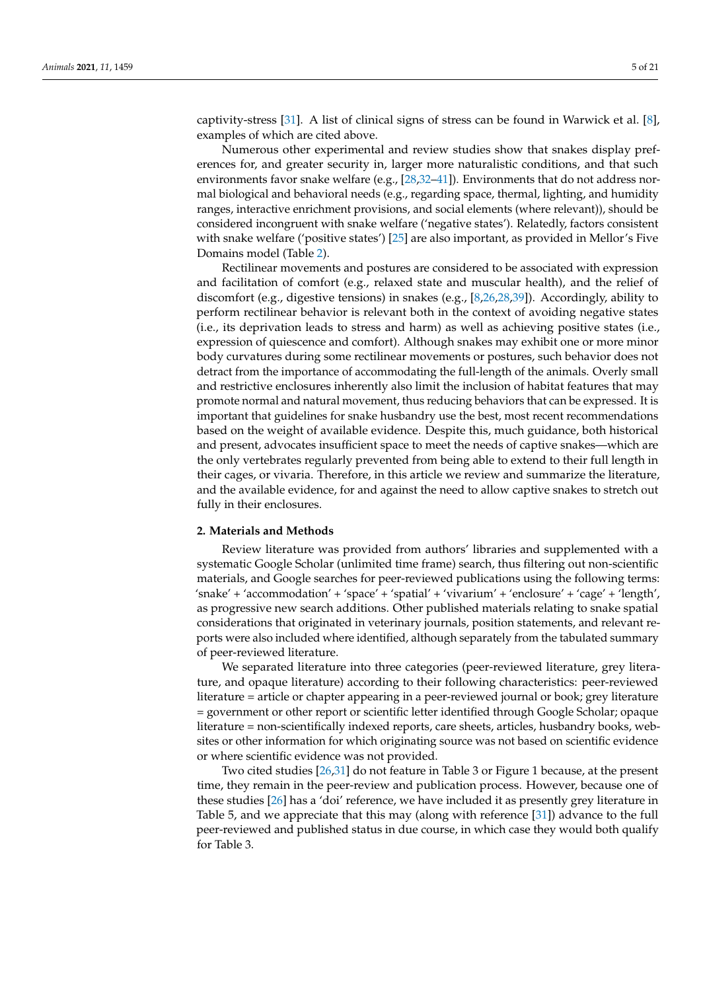captivity-stress [\[31\]](#page-16-18). A list of clinical signs of stress can be found in Warwick et al. [\[8\]](#page-15-6), examples of which are cited above.

Numerous other experimental and review studies show that snakes display preferences for, and greater security in, larger more naturalistic conditions, and that such environments favor snake welfare (e.g., [\[28,](#page-16-15)[32](#page-16-19)[–41\]](#page-17-0)). Environments that do not address normal biological and behavioral needs (e.g., regarding space, thermal, lighting, and humidity ranges, interactive enrichment provisions, and social elements (where relevant)), should be considered incongruent with snake welfare ('negative states'). Relatedly, factors consistent with snake welfare ('positive states') [\[25\]](#page-16-10) are also important, as provided in Mellor's Five Domains model (Table [2\)](#page-2-1).

Rectilinear movements and postures are considered to be associated with expression and facilitation of comfort (e.g., relaxed state and muscular health), and the relief of discomfort (e.g., digestive tensions) in snakes (e.g., [\[8,](#page-15-6)[26](#page-16-11)[,28,](#page-16-15)[39\]](#page-17-1)). Accordingly, ability to perform rectilinear behavior is relevant both in the context of avoiding negative states (i.e., its deprivation leads to stress and harm) as well as achieving positive states (i.e., expression of quiescence and comfort). Although snakes may exhibit one or more minor body curvatures during some rectilinear movements or postures, such behavior does not detract from the importance of accommodating the full-length of the animals. Overly small and restrictive enclosures inherently also limit the inclusion of habitat features that may promote normal and natural movement, thus reducing behaviors that can be expressed. It is important that guidelines for snake husbandry use the best, most recent recommendations based on the weight of available evidence. Despite this, much guidance, both historical and present, advocates insufficient space to meet the needs of captive snakes—which are the only vertebrates regularly prevented from being able to extend to their full length in their cages, or vivaria. Therefore, in this article we review and summarize the literature, and the available evidence, for and against the need to allow captive snakes to stretch out fully in their enclosures.

#### **2. Materials and Methods**

Review literature was provided from authors' libraries and supplemented with a systematic Google Scholar (unlimited time frame) search, thus filtering out non-scientific materials, and Google searches for peer-reviewed publications using the following terms: 'snake' + 'accommodation' + 'space' + 'spatial' + 'vivarium' + 'enclosure' + 'cage' + 'length', as progressive new search additions. Other published materials relating to snake spatial considerations that originated in veterinary journals, position statements, and relevant reports were also included where identified, although separately from the tabulated summary of peer-reviewed literature.

We separated literature into three categories (peer-reviewed literature, grey literature, and opaque literature) according to their following characteristics: peer-reviewed literature = article or chapter appearing in a peer-reviewed journal or book; grey literature = government or other report or scientific letter identified through Google Scholar; opaque literature = non-scientifically indexed reports, care sheets, articles, husbandry books, websites or other information for which originating source was not based on scientific evidence or where scientific evidence was not provided.

Two cited studies [\[26](#page-16-11)[,31\]](#page-16-18) do not feature in Table 3 or Figure 1 because, at the present time, they remain in the peer-review and publication process. However, because one of these studies [\[26\]](#page-16-11) has a 'doi' reference, we have included it as presently grey literature in Table 5, and we appreciate that this may (along with reference [\[31\]](#page-16-18)) advance to the full peer-reviewed and published status in due course, in which case they would both qualify for Table 3.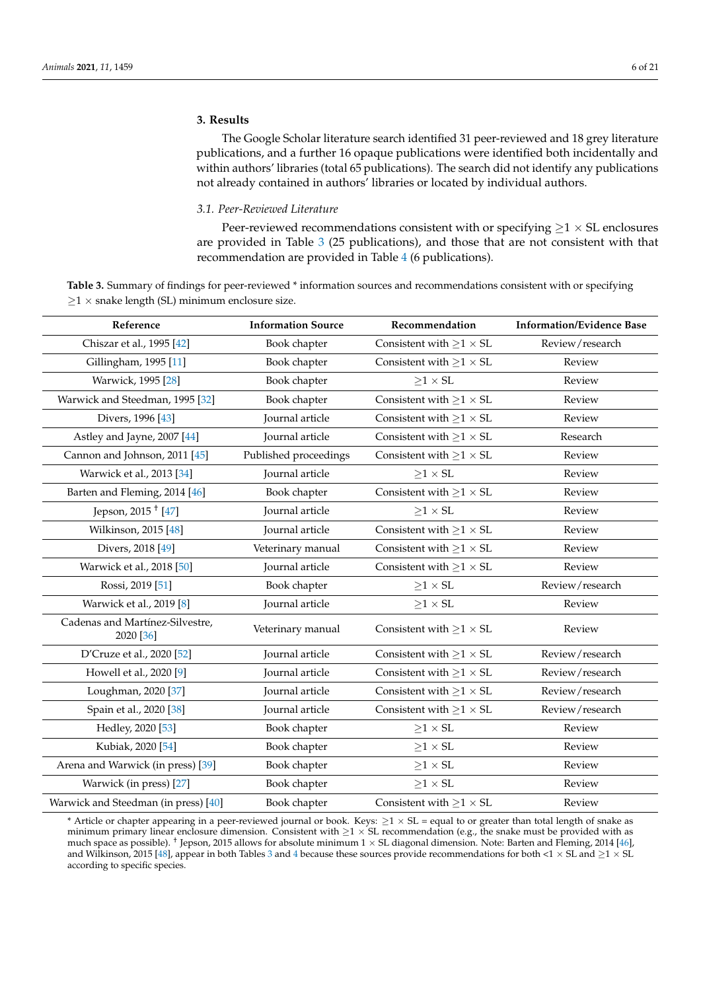# **3. Results**

The Google Scholar literature search identified 31 peer-reviewed and 18 grey literature publications, and a further 16 opaque publications were identified both incidentally and within authors' libraries (total 65 publications). The search did not identify any publications not already contained in authors' libraries or located by individual authors.

## *3.1. Peer-Reviewed Literature*

Peer-reviewed recommendations consistent with or specifying  $\geq 1 \times S$ L enclosures are provided in Table [3](#page-5-0) (25 publications), and those that are not consistent with that recommendation are provided in Table [4](#page-6-0) (6 publications).

<span id="page-5-0"></span>**Table 3.** Summary of findings for peer-reviewed \* information sources and recommendations consistent with or specifying  $\geq$ 1 × snake length (SL) minimum enclosure size.

| Reference                                    | <b>Information Source</b> | Recommendation                       | <b>Information/Evidence Base</b> |
|----------------------------------------------|---------------------------|--------------------------------------|----------------------------------|
| Chiszar et al., 1995 [42]                    | Book chapter              | Consistent with $\geq 1 \times SL$   | Review/research                  |
| Gillingham, 1995 [11]                        | Book chapter              | Consistent with $\geq$ 1 $\times$ SL | Review                           |
| Warwick, 1995 <sup>[28]</sup>                | Book chapter              | $\geq 1 \times SL$                   | Review                           |
| Warwick and Steedman, 1995 [32]              | Book chapter              | Consistent with $\geq 1 \times SL$   | Review                           |
| Divers, 1996 [43]                            | Journal article           | Consistent with $\geq 1 \times SL$   | Review                           |
| Astley and Jayne, 2007 [44]                  | Journal article           | Consistent with $\geq 1 \times SL$   | Research                         |
| Cannon and Johnson, 2011 [45]                | Published proceedings     | Consistent with $\geq 1 \times SL$   | Review                           |
| Warwick et al., 2013 [34]                    | Journal article           | $\geq 1 \times SL$                   | Review                           |
| Barten and Fleming, 2014 [46]                | Book chapter              | Consistent with $\geq 1 \times SL$   | Review                           |
| Jepson, 2015 <sup>†</sup> [47]               | Journal article           | $\geq 1 \times SL$                   | Review                           |
| Wilkinson, 2015 [48]                         | Journal article           | Consistent with ${\geq}1 \times SL$  | Review                           |
| Divers, 2018 [49]                            | Veterinary manual         | Consistent with $\geq 1 \times SL$   | Review                           |
| Warwick et al., 2018 [50]                    | Journal article           | Consistent with $\geq 1 \times SL$   | Review                           |
| Rossi, 2019 [51]                             | Book chapter              | $\geq 1 \times SL$                   | Review/research                  |
| Warwick et al., 2019 [8]                     | Journal article           | ${\geq}1 \times \text{SL}$           | Review                           |
| Cadenas and Martínez-Silvestre,<br>2020 [36] | Veterinary manual         | Consistent with $\geq 1 \times SL$   | Review                           |
| D'Cruze et al., 2020 [52]                    | Journal article           | Consistent with $\geq 1 \times SL$   | Review/research                  |
| Howell et al., 2020 [9]                      | Journal article           | Consistent with $\geq 1 \times SL$   | Review/research                  |
| Loughman, 2020 [37]                          | Journal article           | Consistent with $\geq$ 1 $\times$ SL | Review/research                  |
| Spain et al., 2020 [38]                      | Journal article           | Consistent with $\geq 1 \times SL$   | Review/research                  |
| Hedley, 2020 [53]                            | Book chapter              | $\geq 1 \times SL$                   | Review                           |
| Kubiak, 2020 [54]                            | Book chapter              | ${\geq}1 \times \text{SL}$           | Review                           |
| Arena and Warwick (in press) [39]            | Book chapter              | $\geq 1 \times SL$                   | Review                           |
| Warwick (in press) [27]                      | Book chapter              | ${\geq}1 \times \text{SL}$           | Review                           |
| Warwick and Steedman (in press) [40]         | Book chapter              | Consistent with $\geq 1 \times SL$   | Review                           |

\* Article or chapter appearing in a peer-reviewed journal or book. Keys:  $\geq 1 \times SL$  = equal to or greater than total length of snake as minimum primary linear enclosure dimension. Consistent with  $\geq 1 \times S$ L recommendation (e.g., the snake must be provided with as much space as possible). <sup>†</sup> Jepson, 2015 allows for absolute minimum  $1 \times$  SL diagonal dimension. Note: Barten and Fleming, 2014 [\[46\]](#page-17-6), and Wilkinson, 2015 [\[48\]](#page-17-8), appear in both Tables [3](#page-5-0) and [4](#page-6-0) because these sources provide recommendations for both <1  $\times$  SL and  $\geq$ 1  $\times$  SL according to specific species.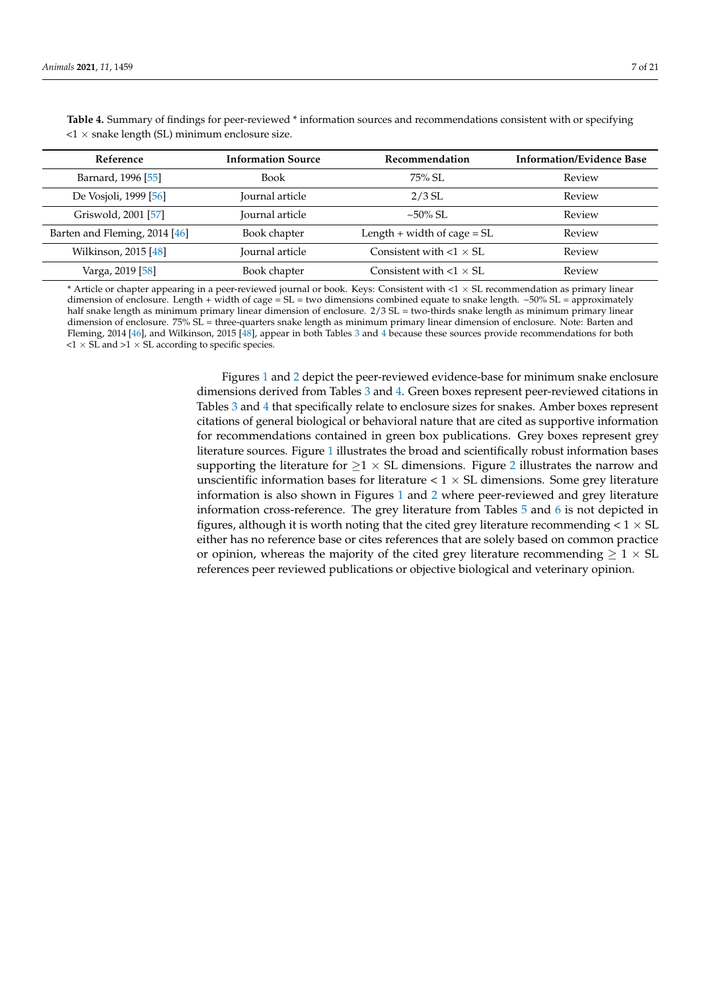| Reference                     | <b>Information Source</b> | Recommendation                  | <b>Information/Evidence Base</b> |
|-------------------------------|---------------------------|---------------------------------|----------------------------------|
| Barnard, 1996 [55]            | <b>Book</b>               | $75\%$ SL.                      | Review                           |
| De Vosjoli, 1999 [56]         | Journal article           | $2/3$ SL                        | Review                           |
| Griswold, 2001 [57]           | Journal article           | $\sim 50\%$ SL.                 | Review                           |
| Barten and Fleming, 2014 [46] | Book chapter              | Length $+$ width of cage $=$ SL | Review                           |
| Wilkinson, 2015 [48]          | Journal article           | Consistent with $<1 \times SL$  | Review                           |
| Varga, 2019 [58]              | Book chapter              | Consistent with $< 1 \times SL$ | Review                           |

<span id="page-6-0"></span>**Table 4.** Summary of findings for peer-reviewed \* information sources and recommendations consistent with or specifying  $<$ 1  $\times$  snake length (SL) minimum enclosure size.

\* Article or chapter appearing in a peer-reviewed journal or book. Keys: Consistent with <1 × SL recommendation as primary linear dimension of enclosure. Length + width of cage =  $SL$  = two dimensions combined equate to snake length.  $~50\%$   $SL$  = approximately half snake length as minimum primary linear dimension of enclosure.  $2/3$  SL = two-thirds snake length as minimum primary linear dimension of enclosure. 75% SL = three-quarters snake length as minimum primary linear dimension of enclosure. Note: Barten and Fleming, 2014 [\[46\]](#page-17-6), and Wilkinson, 2015 [\[48\]](#page-17-8), appear in both Tables [3](#page-5-0) and [4](#page-6-0) because these sources provide recommendations for both  $\langle 1 \times SL$  and  $>1 \times SL$  according to specific species.

> Figures [1](#page-7-0) and [2](#page-8-0) depict the peer-reviewed evidence-base for minimum snake enclosure dimensions derived from Tables [3](#page-5-0) and [4.](#page-6-0) Green boxes represent peer-reviewed citations in Tables [3](#page-5-0) and [4](#page-6-0) that specifically relate to enclosure sizes for snakes. Amber boxes represent citations of general biological or behavioral nature that are cited as supportive information for recommendations contained in green box publications. Grey boxes represent grey literature sources. Figure [1](#page-7-0) illustrates the broad and scientifically robust information bases supporting the literature for  $\geq$ 1 × SL dimensions. Figure [2](#page-8-0) illustrates the narrow and unscientific information bases for literature  $< 1 \times SL$  dimensions. Some grey literature information is also shown in Figures [1](#page-7-0) and [2](#page-8-0) where peer-reviewed and grey literature information cross-reference. The grey literature from Tables [5](#page-9-0) and [6](#page-9-1) is not depicted in figures, although it is worth noting that the cited grey literature recommending  $< 1 \times SL$ either has no reference base or cites references that are solely based on common practice or opinion, whereas the majority of the cited grey literature recommending  $\geq 1 \times SL$ references peer reviewed publications or objective biological and veterinary opinion.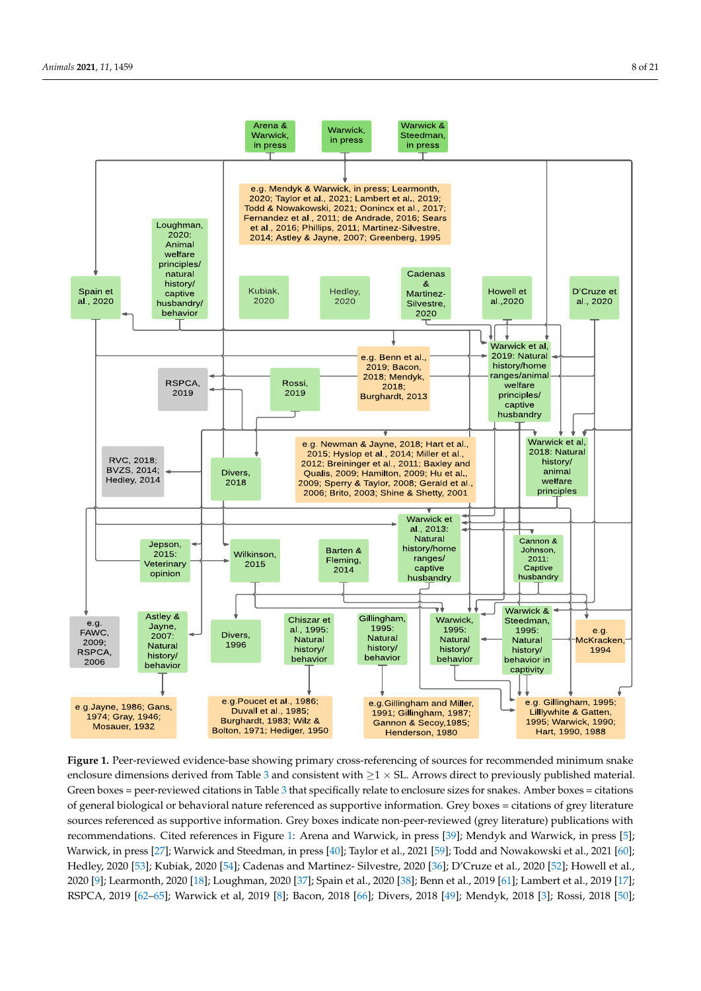<span id="page-7-0"></span>

enclosure dimensions derived from Table [3](#page-5-0) and consistent with  $\geq$  1  $\times$  SL. Arrows direct to previously published material. Green boxes = peer-reviewed citations in Table [3](#page-5-0) that specifically relate to enclosure sizes for snakes. Amber boxes = citations of general biological or behavioral nature referenced as supportive information. Grey boxes = citations of grey literature citations of general biological or behavioral nature referenced as supportive information. Grey boxes = citations of grey sources referenced as supportive information. Grey boxes indicate non-peer-reviewed (grey literature) publications with recommendations. Cited ref[ere](#page-7-0)nces in Figure 1: Arena and Warwick, in press [\[39\]](#page-17-1); Mendyk and Warwick, in press [\[5\]](#page-15-3); Warwick, in press [\[27\]](#page-16-13); Warwick and Steedman, in press [\[40\]](#page-17-15); Taylor et al., 2021 [\[59\]](#page-17-20); Todd and Nowakowski et al., 2021 [\[60\]](#page-17-21); Hedley, 2020 [53]; Kubiak, 2020 [54]; Cadenas and Martinez- Silvestre, 2020 [36]; D'Cruze et [al.,](#page-17-13) 2020 [52]; Howell et al., 202[0 \[](#page-16-0)9]; Learmonth, [2020](#page-16-4) [18]; Loughman, 2[020](#page-16-23) [37]; Spain et al., [202](#page-17-22)0 [38]; Benn et al., 2019 [61]; Lambert et al., 2019 [\[17\]](#page-16-3); RSPCA, 2019 [62-[65\]](#page-17-24); Warwick et al, 2019 [\[8\]](#page-15-6); Bacon, 2018 [\[66\]](#page-17-25); Divers, 2018 [\[49\]](#page-17-9); Mendyk, 2018 [\[3\]](#page-15-2); Rossi, 2018 [\[50\]](#page-17-10); **Figure 1.** Peer-reviewed evidence-base showing primary cross-referencing of sources for recommended minimum snake

2018 [3]; Rossi, 2018 [50]; RVC, 2018 [67,68]; Warwick et al, 2018 [51]; Newman and Jayne, 2018 [69]; Oonincx et al., 2017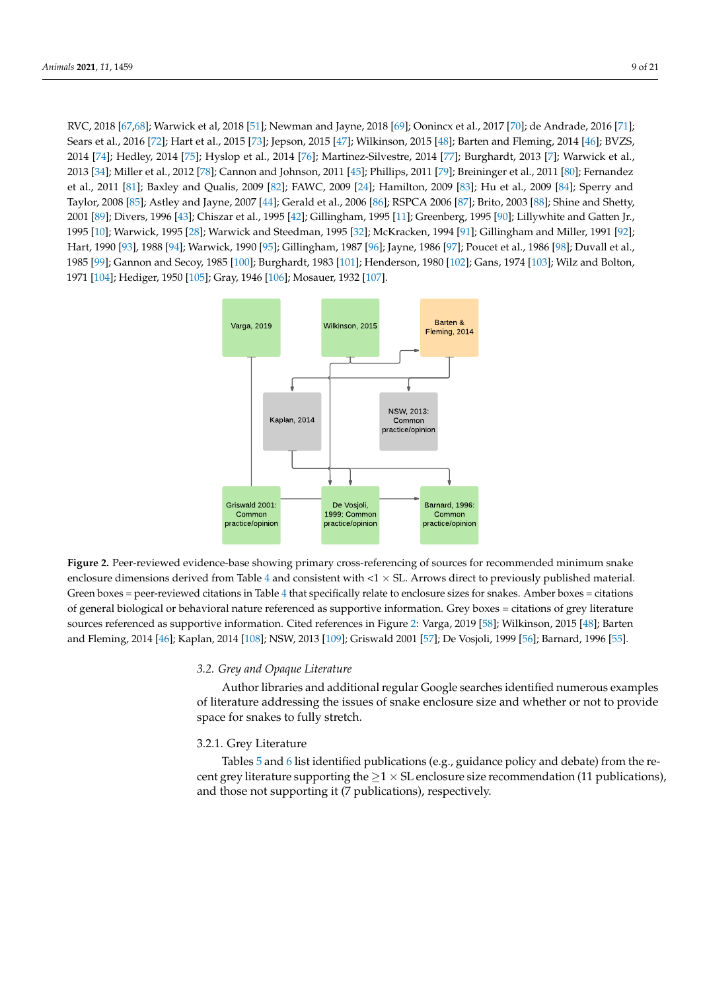RVC, 2018 [\[67](#page-17-26)[,68\]](#page-17-27); Warwick et al, 2018 [\[51\]](#page-17-11); Newman and Jayne, 2018 [\[69\]](#page-17-28); Oonincx et al., 2017 [\[70\]](#page-18-0); de Andrade, 2016 [\[71\]](#page-18-1); Sears et al., 2016 [\[72\]](#page-18-2); Hart et al., 2015 [\[73\]](#page-18-3); Jepson, 2015 [\[47\]](#page-17-7); Wilkinson, 2015 [\[48\]](#page-17-8); Barten and Fleming, 2014 [\[46\]](#page-17-6); BVZS, 2014 [\[74\]](#page-18-4); Hedley, 2014 [\[75\]](#page-18-5); Hyslop et al., 2014 [\[76\]](#page-18-6); Martinez-Silvestre, 2014 [\[77\]](#page-18-7); Burghardt, 2013 [\[7\]](#page-15-5); Warwick et al., 20[13](#page-16-20) [34]; Miller et al., [201](#page-18-8)2 [78]; [Can](#page-17-5)non and Johns[on,](#page-18-9) 2011 [45]; Phillips, 2011 [\[79](#page-18-10)]; Breininger et al., 2011 [80]; Fernandez et al., 2011 [\[81\]](#page-18-11); Baxley and Qualis, 2009 [\[82\]](#page-18-12); FAWC, 2009 [\[24\]](#page-16-9); Hamilton, 2009 [\[83\]](#page-18-13); Hu et al., 2009 [\[84\]](#page-18-14); Sperry and Taylor, 2008 [\[85\]](#page-18-15); Astley and Jayne, 2007 [\[44\]](#page-17-4); Gerald et al., 2006 [\[86\]](#page-18-16); RSPCA 2006 [\[87\]](#page-18-17); Brito, 2003 [\[88\]](#page-18-18); Shine and Shetty, 2001 [\[89\]](#page-18-19); Divers, 1996 [\[43\]](#page-17-3); Chiszar et al., 1995 [\[42\]](#page-17-2); Gillingham, 1995 [\[11\]](#page-16-14); Greenberg, 1995 [\[90\]](#page-18-20); Lillywhite and Gatten Jr., 1995 [\[10\]](#page-16-1); Warwick, 1995 [\[28\]](#page-16-15); Warwick and Steedman, 1995 [\[32\]](#page-16-19); McKracken, 1994 [\[91\]](#page-18-21); Gillingham and Miller, 1991 [\[92\]](#page-18-22); 1990 [98], 1988 [\[94\]](#page-18-24); Warwick, 1990 [\[95\]](#page-18-25); Gillingham, 1987 [\[96\]](#page-18-26); Jayne, 1986 [\[97\]](#page-18-27); Poucet et al., 1986 [\[98\]](#page-18-28); Duvall et al., 1985 [\[99\]](#page-18-29); Gannon and Secoy, 1985 [\[100\]](#page-18-30); Burghardt, 1983 [\[101\]](#page-18-31); Henderson, 1980 [\[102\]](#page-19-0); Gans, 1974 [\[103\]](#page-19-1); Wilz and Bolton, 1971 [\[104\]](#page-19-2); Hediger, 1950 [\[105\]](#page-19-3); Gray, 1946 [\[106\]](#page-19-4); Mosauer, 1932 [\[107\]](#page-19-5).  $P_{\text{P}}(1,1986 \text{ [J3]}, 1906 \text{ [J4]},$  Val want Cal., 1996 [90]; Gannigham, 1987 [90]; Bythe, 1986 [97]; Henderson, 1980 [90]; Duvan et al.,

<span id="page-8-0"></span>

**Figure 2.** Peer-reviewed evidence-base showing primary cross-referencing of sources for recommended minimum snake enclosure dimensions derived from Table [4](#page-6-0) and consistent with  $\langle 1 \times SL$ . Arrows direct to previously published material. Green boxes = peer-reviewed citations in [T](#page-6-0)able 4 that specifically relate to enclosure sizes for snakes. Amber boxes = citations of general biological or behavioral nature referenced as supportive information. Grey boxes = citations of grey literature sources refere[nc](#page-8-0)ed as supportive information. Cited references in Figure 2: Varga, 2019 [\[58\]](#page-17-19); Wilkinson, 2015 [\[48\]](#page-17-8); Barten and [Fle](#page-17-6)ming, 2014 [46][; Kap](#page-19-6)lan, 2014 [10[8\]; N](#page-19-7)SW, 2013 [109]; [Gris](#page-17-18)wald 2001 [57]; D[e Vo](#page-17-17)sjoli, 1999 [56]; [Barn](#page-17-16)ard, 1996 [55]. **Figure 2.** Peer-reviewed evidence-base showing primary cross-referencing of sources for recommended minimum snake

## *3.2. Grey and Opaque Literature*

provide space for snakes to fully stretch.

*3.2. Grey and Opaque Literature*  Author libraries and additional regular Google searches identified numerous examples of literature addressing the issues of snake enclosure size and whether or not to provide space for snakes to fully stretch.

## 3.2.1. Grey Literature

Tables 5 and 6 list identified publications (e.g., guidance policy and debate) from the recent grey literature supporting the  $\geq 1 \times S$ L enclosure size recommendation (11 publications), and those not supporting it (7 publications), respectively.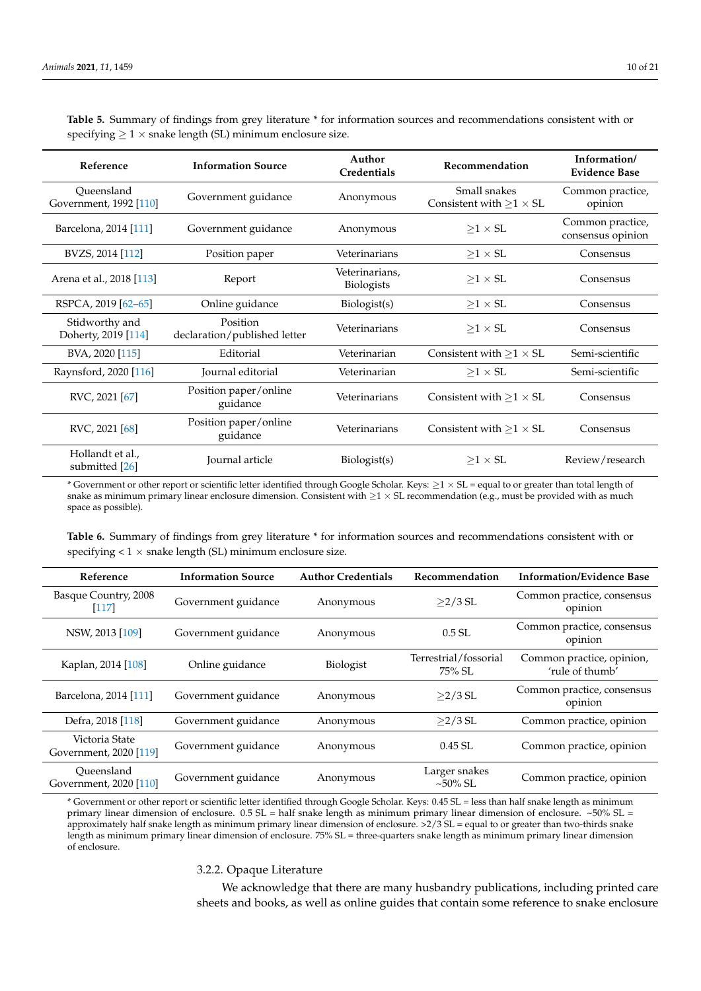| Reference                             | <b>Information Source</b>                | Author<br>Credentials        | Recommendation                                      | Information/<br><b>Evidence Base</b>  |
|---------------------------------------|------------------------------------------|------------------------------|-----------------------------------------------------|---------------------------------------|
| Oueensland<br>Government, 1992 [110]  | Government guidance                      | Anonymous                    | Small snakes<br>Consistent with ${\geq}1 \times SL$ | Common practice,<br>opinion           |
| Barcelona, 2014 [111]                 | Government guidance                      | Anonymous                    | $>1 \times SL$                                      | Common practice,<br>consensus opinion |
| BVZS, 2014 [112]                      | Position paper                           | Veterinarians                | $\geq 1 \times S L$                                 | Consensus                             |
| Arena et al., 2018 [113]              | Report                                   | Veterinarians,<br>Biologists | $>1 \times SL$                                      | Consensus                             |
| RSPCA, 2019 [62-65]                   | Online guidance                          | Biologist(s)                 | $>1 \times SL$                                      | Consensus                             |
| Stidworthy and<br>Doherty, 2019 [114] | Position<br>declaration/published letter | Veterinarians                | $>1 \times SL$                                      | Consensus                             |
| BVA, 2020 [115]                       | Editorial                                | Veterinarian                 | Consistent with $\geq 1 \times SL$                  | Semi-scientific                       |
| Raynsford, 2020 [116]                 | Journal editorial                        | Veterinarian                 | $>1 \times SL$                                      | Semi-scientific                       |
| RVC, 2021 [67]                        | Position paper/online<br>guidance        | Veterinarians                | Consistent with $>1 \times SL$                      | Consensus                             |
| RVC, 2021 [68]                        | Position paper/online<br>guidance        | Veterinarians                | Consistent with $>1 \times SL$                      | Consensus                             |
| Hollandt et al.,<br>submitted [26]    | Journal article                          | Biologist(s)                 | $>1 \times SL$                                      | Review/research                       |

<span id="page-9-0"></span>**Table 5.** Summary of findings from grey literature \* for information sources and recommendations consistent with or specifying  $\geq 1 \times$  snake length (SL) minimum enclosure size.

\* Government or other report or scientific letter identified through Google Scholar. Keys: ≥1 × SL = equal to or greater than total length of snake as minimum primary linear enclosure dimension. Consistent with  $\geq 1 \times SL$  recommendation (e.g., must be provided with as much space as possible).

<span id="page-9-1"></span>**Table 6.** Summary of findings from grey literature \* for information sources and recommendations consistent with or specifying  $< 1 \times$  snake length (SL) minimum enclosure size.

| Reference                                | <b>Information Source</b> | <b>Author Credentials</b> | Recommendation                      | <b>Information/Evidence Base</b>             |
|------------------------------------------|---------------------------|---------------------------|-------------------------------------|----------------------------------------------|
| Basque Country, 2008<br>$[117]$          | Government guidance       | Anonymous                 | $>2/3$ SL                           | Common practice, consensus<br>opinion        |
| NSW, 2013 [109]                          | Government guidance       | Anonymous                 | $0.5$ SL                            | Common practice, consensus<br>opinion        |
| Kaplan, 2014 [108]                       | Online guidance           | Biologist                 | Terrestrial/fossorial<br>$75\%$ SL. | Common practice, opinion,<br>'rule of thumb' |
| Barcelona, 2014 [111]                    | Government guidance       | Anonymous                 | $>2/3$ SL                           | Common practice, consensus<br>opinion        |
| Defra, 2018 [118]                        | Government guidance       | Anonymous                 | $>2/3$ SL                           | Common practice, opinion                     |
| Victoria State<br>Government, 2020 [119] | Government guidance       | Anonymous                 | $0.45$ SL                           | Common practice, opinion                     |
| Oueensland<br>Government, 2020 [110]     | Government guidance       | Anonymous                 | Larger snakes<br>$\sim 50\%$ SL.    | Common practice, opinion                     |

\* Government or other report or scientific letter identified through Google Scholar. Keys: 0.45 SL = less than half snake length as minimum primary linear dimension of enclosure.  $0.5$  SL = half snake length as minimum primary linear dimension of enclosure. ~50% SL = approximately half snake length as minimum primary linear dimension of enclosure. >2/3 SL = equal to or greater than two-thirds snake length as minimum primary linear dimension of enclosure. 75% SL = three-quarters snake length as minimum primary linear dimension of enclosure.

## 3.2.2. Opaque Literature

We acknowledge that there are many husbandry publications, including printed care sheets and books, as well as online guides that contain some reference to snake enclosure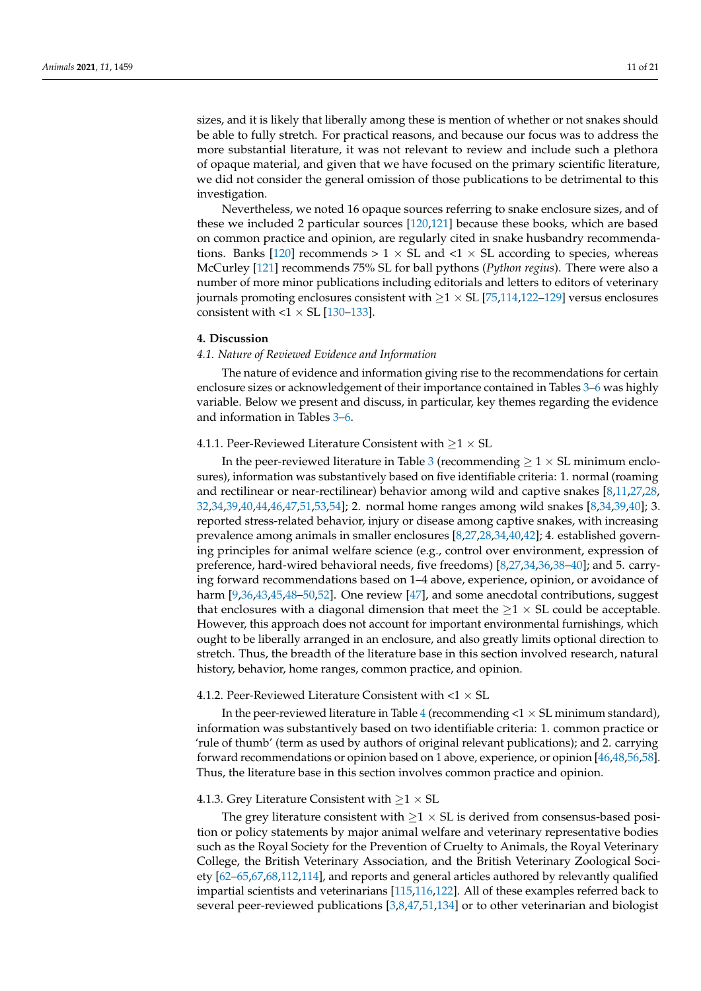sizes, and it is likely that liberally among these is mention of whether or not snakes should be able to fully stretch. For practical reasons, and because our focus was to address the more substantial literature, it was not relevant to review and include such a plethora of opaque material, and given that we have focused on the primary scientific literature, we did not consider the general omission of those publications to be detrimental to this investigation.

Nevertheless, we noted 16 opaque sources referring to snake enclosure sizes, and of these we included 2 particular sources [\[120,](#page-19-18)[121\]](#page-19-19) because these books, which are based on common practice and opinion, are regularly cited in snake husbandry recommenda-tions. Banks [\[120\]](#page-19-18) recommends  $> 1 \times SL$  and  $< 1 \times SL$  according to species, whereas McCurley [\[121\]](#page-19-19) recommends 75% SL for ball pythons (*Python regius*). There were also a number of more minor publications including editorials and letters to editors of veterinary journals promoting enclosures consistent with  $\geq$  1  $\times$  SL [\[75,](#page-18-5)[114,](#page-19-12)[122](#page-19-20)[–129\]](#page-19-21) versus enclosures consistent with  $< 1 \times SL$  [\[130–](#page-19-22)[133\]](#page-19-23).

#### **4. Discussion**

## *4.1. Nature of Reviewed Evidence and Information*

The nature of evidence and information giving rise to the recommendations for certain enclosure sizes or acknowledgement of their importance contained in Tables [3–](#page-5-0)[6](#page-9-1) was highly variable. Below we present and discuss, in particular, key themes regarding the evidence and information in Tables [3–](#page-5-0)[6.](#page-9-1)

## 4.1.1. Peer-Reviewed Literature Consistent with  $\geq 1 \times SL$

In the peer-reviewed literature in Table [3](#page-5-0) (recommending  $\geq 1 \times SL$  minimum enclosures), information was substantively based on five identifiable criteria: 1. normal (roaming and rectilinear or near-rectilinear) behavior among wild and captive snakes [\[8](#page-15-6)[,11,](#page-16-14)[27](#page-16-13)[,28,](#page-16-15) [32,](#page-16-19)[34](#page-16-20)[,39](#page-17-1)[,40,](#page-17-15)[44](#page-17-4)[,46,](#page-17-6)[47](#page-17-7)[,51](#page-17-11)[,53](#page-17-13)[,54\]](#page-17-14); 2. normal home ranges among wild snakes [\[8](#page-15-6)[,34](#page-16-20)[,39](#page-17-1)[,40\]](#page-17-15); 3. reported stress-related behavior, injury or disease among captive snakes, with increasing prevalence among animals in smaller enclosures [\[8](#page-15-6)[,27](#page-16-13)[,28](#page-16-15)[,34](#page-16-20)[,40](#page-17-15)[,42\]](#page-17-2); 4. established governing principles for animal welfare science (e.g., control over environment, expression of preference, hard-wired behavioral needs, five freedoms) [\[8](#page-15-6)[,27](#page-16-13)[,34](#page-16-20)[,36](#page-16-21)[,38–](#page-16-23)[40\]](#page-17-15); and 5. carrying forward recommendations based on 1–4 above, experience, opinion, or avoidance of harm [\[9](#page-16-0)[,36](#page-16-21)[,43](#page-17-3)[,45](#page-17-5)[,48](#page-17-8)[–50](#page-17-10)[,52\]](#page-17-12). One review [\[47\]](#page-17-7), and some anecdotal contributions, suggest that enclosures with a diagonal dimension that meet the  $\geq$ 1  $\times$  SL could be acceptable. However, this approach does not account for important environmental furnishings, which ought to be liberally arranged in an enclosure, and also greatly limits optional direction to stretch. Thus, the breadth of the literature base in this section involved research, natural history, behavior, home ranges, common practice, and opinion.

## 4.1.2. Peer-Reviewed Literature Consistent with  $<$ 1  $\times$  SL

In the peer-reviewed literature in Table [4](#page-6-0) (recommending  $<$  1  $\times$  SL minimum standard), information was substantively based on two identifiable criteria: 1. common practice or 'rule of thumb' (term as used by authors of original relevant publications); and 2. carrying forward recommendations or opinion based on 1 above, experience, or opinion [\[46,](#page-17-6)[48,](#page-17-8)[56](#page-17-17)[,58\]](#page-17-19). Thus, the literature base in this section involves common practice and opinion.

#### 4.1.3. Grey Literature Consistent with  $\geq 1 \times SL$

The grey literature consistent with  $\geq$ 1 × SL is derived from consensus-based position or policy statements by major animal welfare and veterinary representative bodies such as the Royal Society for the Prevention of Cruelty to Animals, the Royal Veterinary College, the British Veterinary Association, and the British Veterinary Zoological Society [\[62](#page-17-23)[–65,](#page-17-24)[67,](#page-17-26)[68,](#page-17-27)[112](#page-19-10)[,114\]](#page-19-12), and reports and general articles authored by relevantly qualified impartial scientists and veterinarians [\[115,](#page-19-13)[116,](#page-19-14)[122\]](#page-19-20). All of these examples referred back to several peer-reviewed publications [\[3,](#page-15-2)[8,](#page-15-6)[47,](#page-17-7)[51,](#page-17-11)[134\]](#page-19-24) or to other veterinarian and biologist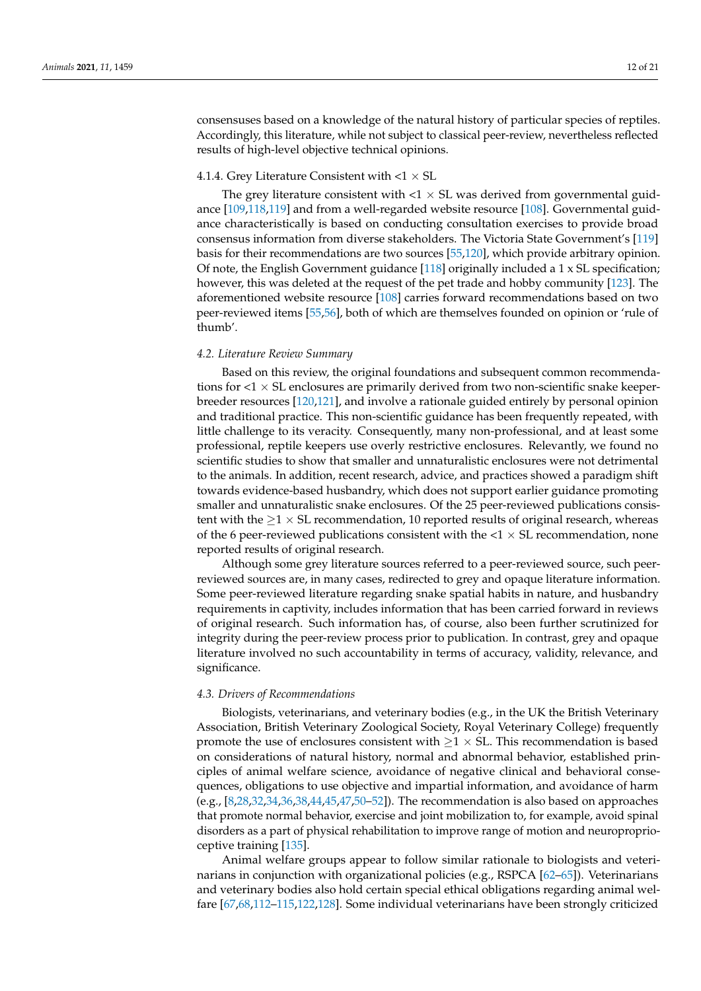consensuses based on a knowledge of the natural history of particular species of reptiles. Accordingly, this literature, while not subject to classical peer-review, nevertheless reflected results of high-level objective technical opinions.

# 4.1.4. Grey Literature Consistent with  $< 1 \times SL$

The grey literature consistent with  $<$ 1  $\times$  SL was derived from governmental guidance [\[109](#page-19-7)[,118](#page-19-16)[,119\]](#page-19-17) and from a well-regarded website resource [\[108\]](#page-19-6). Governmental guidance characteristically is based on conducting consultation exercises to provide broad consensus information from diverse stakeholders. The Victoria State Government's [\[119\]](#page-19-17) basis for their recommendations are two sources [\[55,](#page-17-16)[120\]](#page-19-18), which provide arbitrary opinion. Of note, the English Government guidance [\[118\]](#page-19-16) originally included a 1 x SL specification; however, this was deleted at the request of the pet trade and hobby community [\[123\]](#page-19-25). The aforementioned website resource [\[108\]](#page-19-6) carries forward recommendations based on two peer-reviewed items [\[55](#page-17-16)[,56\]](#page-17-17), both of which are themselves founded on opinion or 'rule of thumb'.

# *4.2. Literature Review Summary*

Based on this review, the original foundations and subsequent common recommendations for  $<$ 1  $\times$  SL enclosures are primarily derived from two non-scientific snake keeperbreeder resources [\[120](#page-19-18)[,121\]](#page-19-19), and involve a rationale guided entirely by personal opinion and traditional practice. This non-scientific guidance has been frequently repeated, with little challenge to its veracity. Consequently, many non-professional, and at least some professional, reptile keepers use overly restrictive enclosures. Relevantly, we found no scientific studies to show that smaller and unnaturalistic enclosures were not detrimental to the animals. In addition, recent research, advice, and practices showed a paradigm shift towards evidence-based husbandry, which does not support earlier guidance promoting smaller and unnaturalistic snake enclosures. Of the 25 peer-reviewed publications consistent with the  $\geq$ 1  $\times$  SL recommendation, 10 reported results of original research, whereas of the 6 peer-reviewed publications consistent with the  $<$ 1  $\times$  SL recommendation, none reported results of original research.

Although some grey literature sources referred to a peer-reviewed source, such peerreviewed sources are, in many cases, redirected to grey and opaque literature information. Some peer-reviewed literature regarding snake spatial habits in nature, and husbandry requirements in captivity, includes information that has been carried forward in reviews of original research. Such information has, of course, also been further scrutinized for integrity during the peer-review process prior to publication. In contrast, grey and opaque literature involved no such accountability in terms of accuracy, validity, relevance, and significance.

#### *4.3. Drivers of Recommendations*

Biologists, veterinarians, and veterinary bodies (e.g., in the UK the British Veterinary Association, British Veterinary Zoological Society, Royal Veterinary College) frequently promote the use of enclosures consistent with  $\geq 1 \times S$ L. This recommendation is based on considerations of natural history, normal and abnormal behavior, established principles of animal welfare science, avoidance of negative clinical and behavioral consequences, obligations to use objective and impartial information, and avoidance of harm (e.g., [\[8](#page-15-6)[,28](#page-16-15)[,32,](#page-16-19)[34,](#page-16-20)[36,](#page-16-21)[38,](#page-16-23)[44,](#page-17-4)[45](#page-17-5)[,47](#page-17-7)[,50–](#page-17-10)[52\]](#page-17-12)). The recommendation is also based on approaches that promote normal behavior, exercise and joint mobilization to, for example, avoid spinal disorders as a part of physical rehabilitation to improve range of motion and neuroproprioceptive training [\[135\]](#page-19-26).

Animal welfare groups appear to follow similar rationale to biologists and veterinarians in conjunction with organizational policies (e.g., RSPCA [\[62–](#page-17-23)[65\]](#page-17-24)). Veterinarians and veterinary bodies also hold certain special ethical obligations regarding animal welfare [\[67,](#page-17-26)[68,](#page-17-27)[112](#page-19-10)[–115,](#page-19-13)[122,](#page-19-20)[128\]](#page-19-27). Some individual veterinarians have been strongly criticized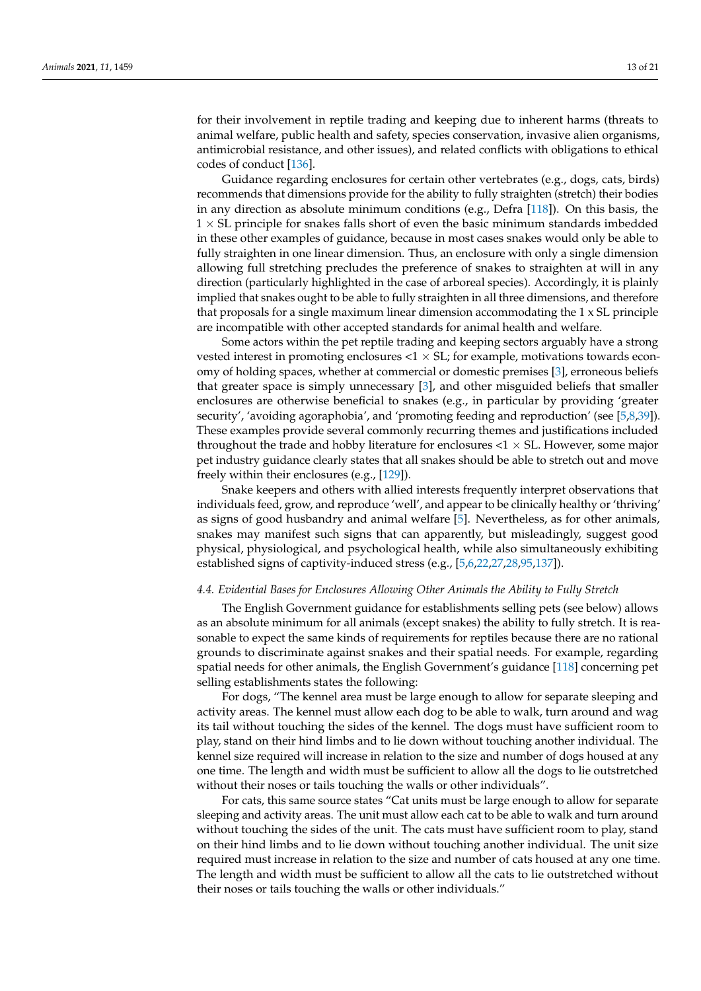for their involvement in reptile trading and keeping due to inherent harms (threats to animal welfare, public health and safety, species conservation, invasive alien organisms, antimicrobial resistance, and other issues), and related conflicts with obligations to ethical codes of conduct [\[136\]](#page-20-0).

Guidance regarding enclosures for certain other vertebrates (e.g., dogs, cats, birds) recommends that dimensions provide for the ability to fully straighten (stretch) their bodies in any direction as absolute minimum conditions (e.g., Defra  $[118]$ ). On this basis, the  $1 \times$  SL principle for snakes falls short of even the basic minimum standards imbedded in these other examples of guidance, because in most cases snakes would only be able to fully straighten in one linear dimension. Thus, an enclosure with only a single dimension allowing full stretching precludes the preference of snakes to straighten at will in any direction (particularly highlighted in the case of arboreal species). Accordingly, it is plainly implied that snakes ought to be able to fully straighten in all three dimensions, and therefore that proposals for a single maximum linear dimension accommodating the 1 x SL principle are incompatible with other accepted standards for animal health and welfare.

Some actors within the pet reptile trading and keeping sectors arguably have a strong vested interest in promoting enclosures  $<$ 1  $\times$  SL; for example, motivations towards economy of holding spaces, whether at commercial or domestic premises [\[3\]](#page-15-2), erroneous beliefs that greater space is simply unnecessary [\[3\]](#page-15-2), and other misguided beliefs that smaller enclosures are otherwise beneficial to snakes (e.g., in particular by providing 'greater security', 'avoiding agoraphobia', and 'promoting feeding and reproduction' (see [\[5,](#page-15-3)[8,](#page-15-6)[39\]](#page-17-1)). These examples provide several commonly recurring themes and justifications included throughout the trade and hobby literature for enclosures  $<$  1  $\times$  SL. However, some major pet industry guidance clearly states that all snakes should be able to stretch out and move freely within their enclosures (e.g., [\[129\]](#page-19-21)).

Snake keepers and others with allied interests frequently interpret observations that individuals feed, grow, and reproduce 'well', and appear to be clinically healthy or 'thriving' as signs of good husbandry and animal welfare [\[5\]](#page-15-3). Nevertheless, as for other animals, snakes may manifest such signs that can apparently, but misleadingly, suggest good physical, physiological, and psychological health, while also simultaneously exhibiting established signs of captivity-induced stress (e.g., [\[5,](#page-15-3)[6,](#page-15-4)[22,](#page-16-6)[27,](#page-16-13)[28](#page-16-15)[,95](#page-18-25)[,137\]](#page-20-1)).

#### *4.4. Evidential Bases for Enclosures Allowing Other Animals the Ability to Fully Stretch*

The English Government guidance for establishments selling pets (see below) allows as an absolute minimum for all animals (except snakes) the ability to fully stretch. It is reasonable to expect the same kinds of requirements for reptiles because there are no rational grounds to discriminate against snakes and their spatial needs. For example, regarding spatial needs for other animals, the English Government's guidance [\[118\]](#page-19-16) concerning pet selling establishments states the following:

For dogs, "The kennel area must be large enough to allow for separate sleeping and activity areas. The kennel must allow each dog to be able to walk, turn around and wag its tail without touching the sides of the kennel. The dogs must have sufficient room to play, stand on their hind limbs and to lie down without touching another individual. The kennel size required will increase in relation to the size and number of dogs housed at any one time. The length and width must be sufficient to allow all the dogs to lie outstretched without their noses or tails touching the walls or other individuals".

For cats, this same source states "Cat units must be large enough to allow for separate sleeping and activity areas. The unit must allow each cat to be able to walk and turn around without touching the sides of the unit. The cats must have sufficient room to play, stand on their hind limbs and to lie down without touching another individual. The unit size required must increase in relation to the size and number of cats housed at any one time. The length and width must be sufficient to allow all the cats to lie outstretched without their noses or tails touching the walls or other individuals."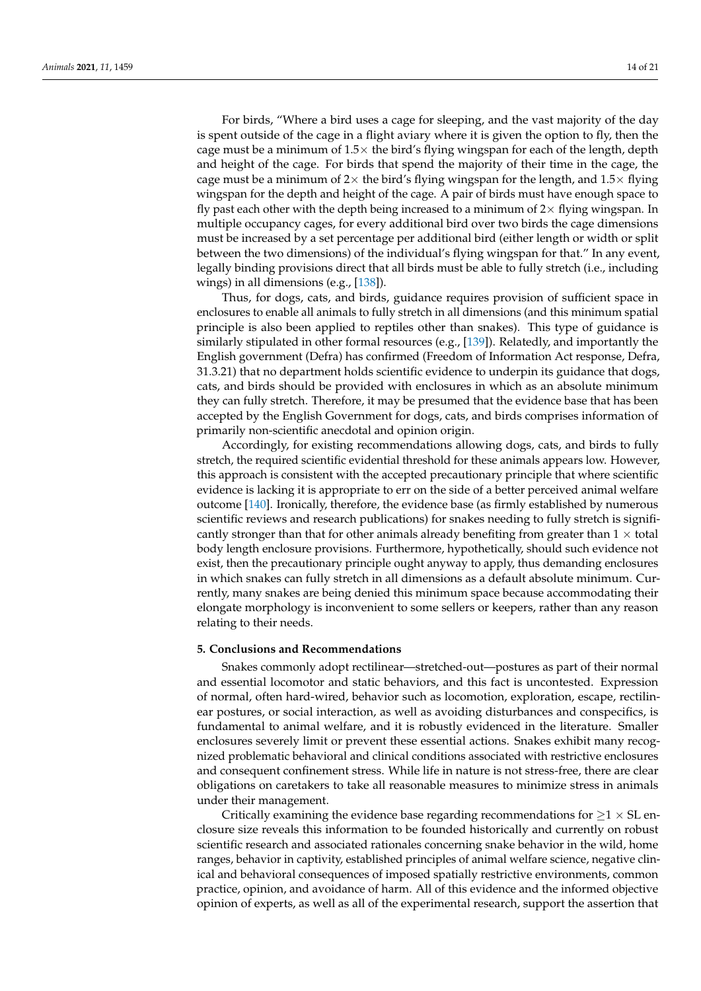For birds, "Where a bird uses a cage for sleeping, and the vast majority of the day is spent outside of the cage in a flight aviary where it is given the option to fly, then the cage must be a minimum of  $1.5\times$  the bird's flying wingspan for each of the length, depth and height of the cage. For birds that spend the majority of their time in the cage, the cage must be a minimum of  $2\times$  the bird's flying wingspan for the length, and  $1.5\times$  flying wingspan for the depth and height of the cage. A pair of birds must have enough space to fly past each other with the depth being increased to a minimum of  $2\times$  flying wingspan. In multiple occupancy cages, for every additional bird over two birds the cage dimensions must be increased by a set percentage per additional bird (either length or width or split between the two dimensions) of the individual's flying wingspan for that." In any event, legally binding provisions direct that all birds must be able to fully stretch (i.e., including wings) in all dimensions (e.g., [\[138\]](#page-20-2)).

Thus, for dogs, cats, and birds, guidance requires provision of sufficient space in enclosures to enable all animals to fully stretch in all dimensions (and this minimum spatial principle is also been applied to reptiles other than snakes). This type of guidance is similarly stipulated in other formal resources (e.g., [\[139\]](#page-20-3)). Relatedly, and importantly the English government (Defra) has confirmed (Freedom of Information Act response, Defra, 31.3.21) that no department holds scientific evidence to underpin its guidance that dogs, cats, and birds should be provided with enclosures in which as an absolute minimum they can fully stretch. Therefore, it may be presumed that the evidence base that has been accepted by the English Government for dogs, cats, and birds comprises information of primarily non-scientific anecdotal and opinion origin.

Accordingly, for existing recommendations allowing dogs, cats, and birds to fully stretch, the required scientific evidential threshold for these animals appears low. However, this approach is consistent with the accepted precautionary principle that where scientific evidence is lacking it is appropriate to err on the side of a better perceived animal welfare outcome [\[140\]](#page-20-4). Ironically, therefore, the evidence base (as firmly established by numerous scientific reviews and research publications) for snakes needing to fully stretch is significantly stronger than that for other animals already benefiting from greater than  $1 \times$  total body length enclosure provisions. Furthermore, hypothetically, should such evidence not exist, then the precautionary principle ought anyway to apply, thus demanding enclosures in which snakes can fully stretch in all dimensions as a default absolute minimum. Currently, many snakes are being denied this minimum space because accommodating their elongate morphology is inconvenient to some sellers or keepers, rather than any reason relating to their needs.

## **5. Conclusions and Recommendations**

Snakes commonly adopt rectilinear—stretched-out—postures as part of their normal and essential locomotor and static behaviors, and this fact is uncontested. Expression of normal, often hard-wired, behavior such as locomotion, exploration, escape, rectilinear postures, or social interaction, as well as avoiding disturbances and conspecifics, is fundamental to animal welfare, and it is robustly evidenced in the literature. Smaller enclosures severely limit or prevent these essential actions. Snakes exhibit many recognized problematic behavioral and clinical conditions associated with restrictive enclosures and consequent confinement stress. While life in nature is not stress-free, there are clear obligations on caretakers to take all reasonable measures to minimize stress in animals under their management.

Critically examining the evidence base regarding recommendations for  $\geq 1 \times SL$  enclosure size reveals this information to be founded historically and currently on robust scientific research and associated rationales concerning snake behavior in the wild, home ranges, behavior in captivity, established principles of animal welfare science, negative clinical and behavioral consequences of imposed spatially restrictive environments, common practice, opinion, and avoidance of harm. All of this evidence and the informed objective opinion of experts, as well as all of the experimental research, support the assertion that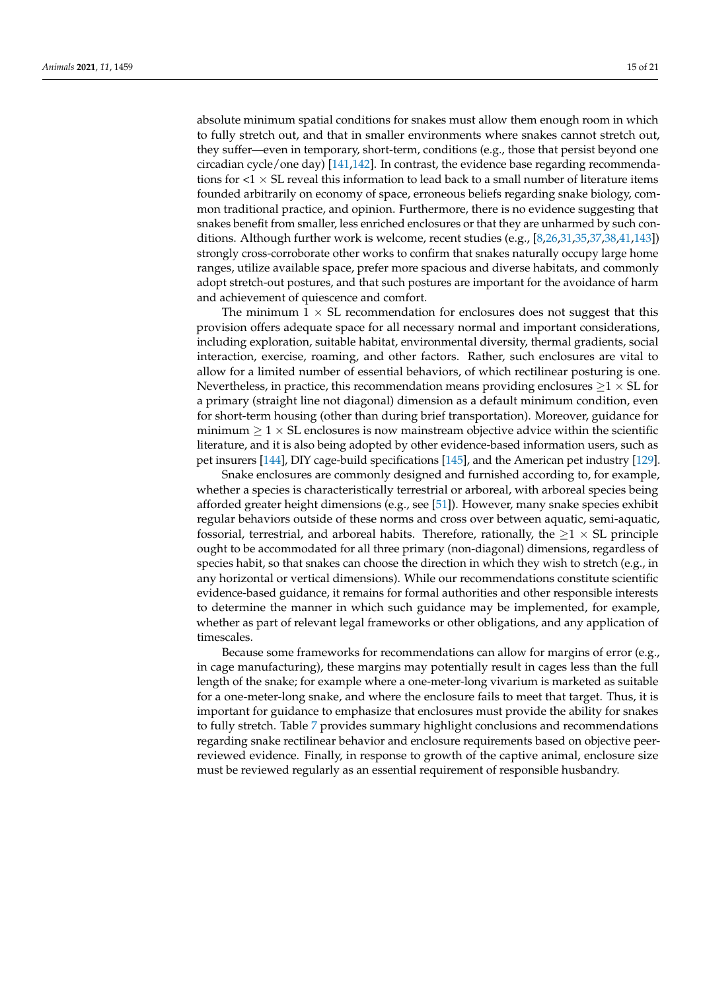absolute minimum spatial conditions for snakes must allow them enough room in which to fully stretch out, and that in smaller environments where snakes cannot stretch out, they suffer—even in temporary, short-term, conditions (e.g., those that persist beyond one circadian cycle/one day) [\[141](#page-20-5)[,142\]](#page-20-6). In contrast, the evidence base regarding recommendations for  $<$ 1  $\times$  SL reveal this information to lead back to a small number of literature items founded arbitrarily on economy of space, erroneous beliefs regarding snake biology, common traditional practice, and opinion. Furthermore, there is no evidence suggesting that snakes benefit from smaller, less enriched enclosures or that they are unharmed by such conditions. Although further work is welcome, recent studies (e.g., [\[8,](#page-15-6)[26,](#page-16-11)[31,](#page-16-18)[35,](#page-16-24)[37,](#page-16-22)[38,](#page-16-23)[41,](#page-17-0)[143\]](#page-20-7)) strongly cross-corroborate other works to confirm that snakes naturally occupy large home ranges, utilize available space, prefer more spacious and diverse habitats, and commonly adopt stretch-out postures, and that such postures are important for the avoidance of harm and achievement of quiescence and comfort.

The minimum  $1 \times SL$  recommendation for enclosures does not suggest that this provision offers adequate space for all necessary normal and important considerations, including exploration, suitable habitat, environmental diversity, thermal gradients, social interaction, exercise, roaming, and other factors. Rather, such enclosures are vital to allow for a limited number of essential behaviors, of which rectilinear posturing is one. Nevertheless, in practice, this recommendation means providing enclosures  $\geq 1 \times SL$  for a primary (straight line not diagonal) dimension as a default minimum condition, even for short-term housing (other than during brief transportation). Moreover, guidance for minimum  $\geq 1 \times S$ L enclosures is now mainstream objective advice within the scientific literature, and it is also being adopted by other evidence-based information users, such as pet insurers [\[144\]](#page-20-8), DIY cage-build specifications [\[145\]](#page-20-9), and the American pet industry [\[129\]](#page-19-21).

Snake enclosures are commonly designed and furnished according to, for example, whether a species is characteristically terrestrial or arboreal, with arboreal species being afforded greater height dimensions (e.g., see [\[51\]](#page-17-11)). However, many snake species exhibit regular behaviors outside of these norms and cross over between aquatic, semi-aquatic, fossorial, terrestrial, and arboreal habits. Therefore, rationally, the  $\geq 1 \times SL$  principle ought to be accommodated for all three primary (non-diagonal) dimensions, regardless of species habit, so that snakes can choose the direction in which they wish to stretch (e.g., in any horizontal or vertical dimensions). While our recommendations constitute scientific evidence-based guidance, it remains for formal authorities and other responsible interests to determine the manner in which such guidance may be implemented, for example, whether as part of relevant legal frameworks or other obligations, and any application of timescales.

Because some frameworks for recommendations can allow for margins of error (e.g., in cage manufacturing), these margins may potentially result in cages less than the full length of the snake; for example where a one-meter-long vivarium is marketed as suitable for a one-meter-long snake, and where the enclosure fails to meet that target. Thus, it is important for guidance to emphasize that enclosures must provide the ability for snakes to fully stretch. Table [7](#page-15-7) provides summary highlight conclusions and recommendations regarding snake rectilinear behavior and enclosure requirements based on objective peerreviewed evidence. Finally, in response to growth of the captive animal, enclosure size must be reviewed regularly as an essential requirement of responsible husbandry.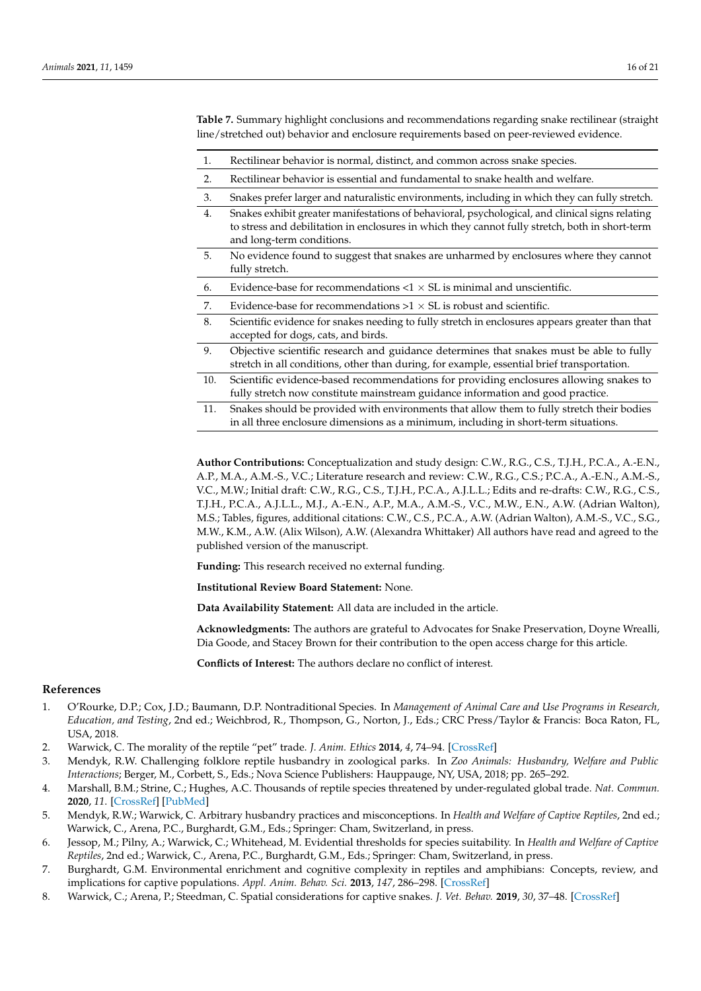<span id="page-15-7"></span>**Table 7.** Summary highlight conclusions and recommendations regarding snake rectilinear (straight line/stretched out) behavior and enclosure requirements based on peer-reviewed evidence.

- 1. Rectilinear behavior is normal, distinct, and common across snake species.
- 2. Rectilinear behavior is essential and fundamental to snake health and welfare.
- 3. Snakes prefer larger and naturalistic environments, including in which they can fully stretch.
- 4. Snakes exhibit greater manifestations of behavioral, psychological, and clinical signs relating to stress and debilitation in enclosures in which they cannot fully stretch, both in short-term and long-term conditions.
- 5. No evidence found to suggest that snakes are unharmed by enclosures where they cannot fully stretch.
- 6. Evidence-base for recommendations  $< 1 \times SL$  is minimal and unscientific.
- 7. Evidence-base for recommendations  $>1 \times SL$  is robust and scientific.
- 8. Scientific evidence for snakes needing to fully stretch in enclosures appears greater than that accepted for dogs, cats, and birds.
- 9. Objective scientific research and guidance determines that snakes must be able to fully stretch in all conditions, other than during, for example, essential brief transportation.
- 10. Scientific evidence-based recommendations for providing enclosures allowing snakes to fully stretch now constitute mainstream guidance information and good practice.
- 11. Snakes should be provided with environments that allow them to fully stretch their bodies in all three enclosure dimensions as a minimum, including in short-term situations.

**Author Contributions:** Conceptualization and study design: C.W., R.G., C.S., T.J.H., P.C.A., A.-E.N., A.P., M.A., A.M.-S., V.C.; Literature research and review: C.W., R.G., C.S.; P.C.A., A.-E.N., A.M.-S., V.C., M.W.; Initial draft: C.W., R.G., C.S., T.J.H., P.C.A., A.J.L.L.; Edits and re-drafts: C.W., R.G., C.S., T.J.H., P.C.A., A.J.L.L., M.J., A.-E.N., A.P., M.A., A.M.-S., V.C., M.W., E.N., A.W. (Adrian Walton), M.S.; Tables, figures, additional citations: C.W., C.S., P.C.A., A.W. (Adrian Walton), A.M.-S., V.C., S.G., M.W., K.M., A.W. (Alix Wilson), A.W. (Alexandra Whittaker) All authors have read and agreed to the published version of the manuscript.

**Funding:** This research received no external funding.

**Institutional Review Board Statement:** None.

**Data Availability Statement:** All data are included in the article.

**Acknowledgments:** The authors are grateful to Advocates for Snake Preservation, Doyne Wrealli, Dia Goode, and Stacey Brown for their contribution to the open access charge for this article.

**Conflicts of Interest:** The authors declare no conflict of interest.

## **References**

- <span id="page-15-0"></span>1. O'Rourke, D.P.; Cox, J.D.; Baumann, D.P. Nontraditional Species. In *Management of Animal Care and Use Programs in Research, Education, and Testing*, 2nd ed.; Weichbrod, R., Thompson, G., Norton, J., Eds.; CRC Press/Taylor & Francis: Boca Raton, FL, USA, 2018.
- 2. Warwick, C. The morality of the reptile "pet" trade. *J. Anim. Ethics* **2014**, *4*, 74–94. [\[CrossRef\]](http://doi.org/10.5406/janimalethics.4.1.0074)
- <span id="page-15-2"></span>3. Mendyk, R.W. Challenging folklore reptile husbandry in zoological parks. In *Zoo Animals: Husbandry, Welfare and Public Interactions*; Berger, M., Corbett, S., Eds.; Nova Science Publishers: Hauppauge, NY, USA, 2018; pp. 265–292.
- <span id="page-15-1"></span>4. Marshall, B.M.; Strine, C.; Hughes, A.C. Thousands of reptile species threatened by under-regulated global trade. *Nat. Commun.* **2020**, *11*. [\[CrossRef\]](http://doi.org/10.1038/s41467-020-18523-4) [\[PubMed\]](http://www.ncbi.nlm.nih.gov/pubmed/32994397)
- <span id="page-15-3"></span>5. Mendyk, R.W.; Warwick, C. Arbitrary husbandry practices and misconceptions. In *Health and Welfare of Captive Reptiles*, 2nd ed.; Warwick, C., Arena, P.C., Burghardt, G.M., Eds.; Springer: Cham, Switzerland, in press.
- <span id="page-15-4"></span>6. Jessop, M.; Pilny, A.; Warwick, C.; Whitehead, M. Evidential thresholds for species suitability. In *Health and Welfare of Captive Reptiles*, 2nd ed.; Warwick, C., Arena, P.C., Burghardt, G.M., Eds.; Springer: Cham, Switzerland, in press.
- <span id="page-15-5"></span>7. Burghardt, G.M. Environmental enrichment and cognitive complexity in reptiles and amphibians: Concepts, review, and implications for captive populations. *Appl. Anim. Behav. Sci.* **2013**, *147*, 286–298. [\[CrossRef\]](http://doi.org/10.1016/j.applanim.2013.04.013)
- <span id="page-15-6"></span>8. Warwick, C.; Arena, P.; Steedman, C. Spatial considerations for captive snakes. *J. Vet. Behav.* **2019**, *30*, 37–48. [\[CrossRef\]](http://doi.org/10.1016/j.jveb.2018.12.006)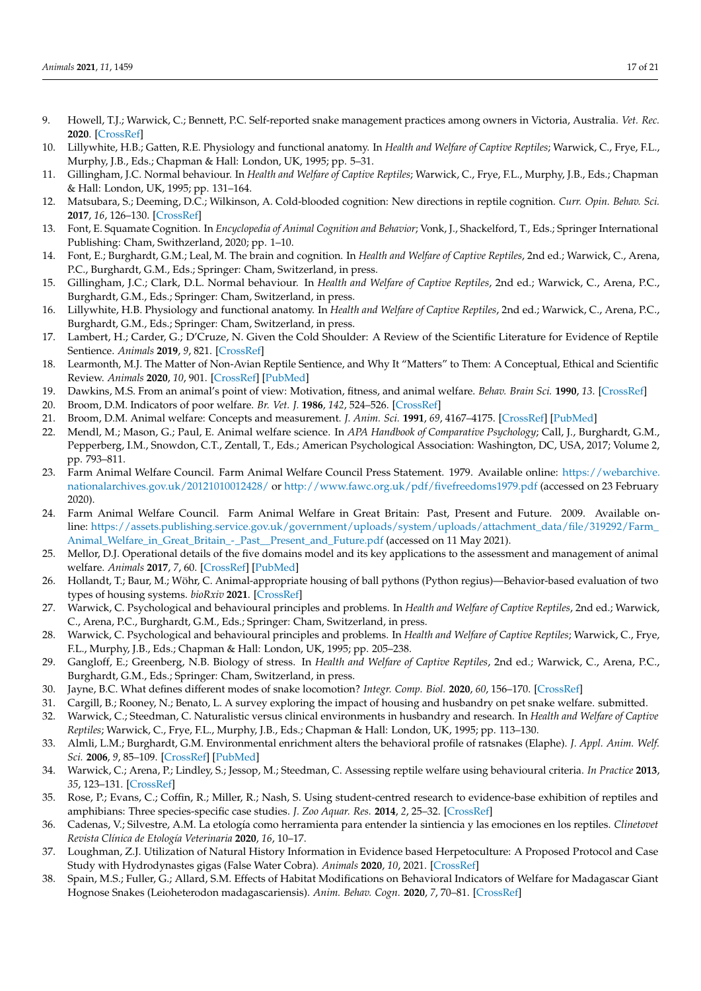- <span id="page-16-0"></span>9. Howell, T.J.; Warwick, C.; Bennett, P.C. Self-reported snake management practices among owners in Victoria, Australia. *Vet. Rec.* **2020**. [\[CrossRef\]](http://doi.org/10.1136/vr.105409)
- <span id="page-16-1"></span>10. Lillywhite, H.B.; Gatten, R.E. Physiology and functional anatomy. In *Health and Welfare of Captive Reptiles*; Warwick, C., Frye, F.L., Murphy, J.B., Eds.; Chapman & Hall: London, UK, 1995; pp. 5–31.
- <span id="page-16-14"></span>11. Gillingham, J.C. Normal behaviour. In *Health and Welfare of Captive Reptiles*; Warwick, C., Frye, F.L., Murphy, J.B., Eds.; Chapman & Hall: London, UK, 1995; pp. 131–164.
- 12. Matsubara, S.; Deeming, D.C.; Wilkinson, A. Cold-blooded cognition: New directions in reptile cognition. *Curr. Opin. Behav. Sci.* **2017**, *16*, 126–130. [\[CrossRef\]](http://doi.org/10.1016/j.cobeha.2017.06.006)
- 13. Font, E. Squamate Cognition. In *Encyclopedia of Animal Cognition and Behavior*; Vonk, J., Shackelford, T., Eds.; Springer International Publishing: Cham, Swithzerland, 2020; pp. 1–10.
- 14. Font, E.; Burghardt, G.M.; Leal, M. The brain and cognition. In *Health and Welfare of Captive Reptiles*, 2nd ed.; Warwick, C., Arena, P.C., Burghardt, G.M., Eds.; Springer: Cham, Switzerland, in press.
- <span id="page-16-12"></span>15. Gillingham, J.C.; Clark, D.L. Normal behaviour. In *Health and Welfare of Captive Reptiles*, 2nd ed.; Warwick, C., Arena, P.C., Burghardt, G.M., Eds.; Springer: Cham, Switzerland, in press.
- <span id="page-16-2"></span>16. Lillywhite, H.B. Physiology and functional anatomy. In *Health and Welfare of Captive Reptiles*, 2nd ed.; Warwick, C., Arena, P.C., Burghardt, G.M., Eds.; Springer: Cham, Switzerland, in press.
- <span id="page-16-3"></span>17. Lambert, H.; Carder, G.; D'Cruze, N. Given the Cold Shoulder: A Review of the Scientific Literature for Evidence of Reptile Sentience. *Animals* **2019**, *9*, 821. [\[CrossRef\]](http://doi.org/10.3390/ani9100821)
- <span id="page-16-4"></span>18. Learmonth, M.J. The Matter of Non-Avian Reptile Sentience, and Why It "Matters" to Them: A Conceptual, Ethical and Scientific Review. *Animals* **2020**, *10*, 901. [\[CrossRef\]](http://doi.org/10.3390/ani10050901) [\[PubMed\]](http://www.ncbi.nlm.nih.gov/pubmed/32455969)
- <span id="page-16-5"></span>19. Dawkins, M.S. From an animal's point of view: Motivation, fitness, and animal welfare. *Behav. Brain Sci.* **1990**, *13*. [\[CrossRef\]](http://doi.org/10.1017/S0140525X00077104)
- 20. Broom, D.M. Indicators of poor welfare. *Br. Vet. J.* **1986**, *142*, 524–526. [\[CrossRef\]](http://doi.org/10.1016/0007-1935(86)90109-0)
- <span id="page-16-7"></span>21. Broom, D.M. Animal welfare: Concepts and measurement. *J. Anim. Sci.* **1991**, *69*, 4167–4175. [\[CrossRef\]](http://doi.org/10.2527/1991.69104167x) [\[PubMed\]](http://www.ncbi.nlm.nih.gov/pubmed/1778832)
- <span id="page-16-6"></span>22. Mendl, M.; Mason, G.; Paul, E. Animal welfare science. In *APA Handbook of Comparative Psychology*; Call, J., Burghardt, G.M., Pepperberg, I.M., Snowdon, C.T., Zentall, T., Eds.; American Psychological Association: Washington, DC, USA, 2017; Volume 2, pp. 793–811.
- <span id="page-16-8"></span>23. Farm Animal Welfare Council. Farm Animal Welfare Council Press Statement. 1979. Available online: [https://webarchive.](https://webarchive.nationalarchives.gov.uk/20121010012428/) [nationalarchives.gov.uk/20121010012428/](https://webarchive.nationalarchives.gov.uk/20121010012428/) or <http://www.fawc.org.uk/pdf/fivefreedoms1979.pdf> (accessed on 23 February 2020).
- <span id="page-16-9"></span>24. Farm Animal Welfare Council. Farm Animal Welfare in Great Britain: Past, Present and Future. 2009. Available online: [https://assets.publishing.service.gov.uk/government/uploads/system/uploads/attachment\\_data/file/319292/Farm\\_](https://assets.publishing.service.gov.uk/government/uploads/system/uploads/attachment_data/file/319292/Farm_Animal_Welfare_in_Great_Britain_-_Past__Present_and_Future.pdf) [Animal\\_Welfare\\_in\\_Great\\_Britain\\_-\\_Past\\_\\_Present\\_and\\_Future.pdf](https://assets.publishing.service.gov.uk/government/uploads/system/uploads/attachment_data/file/319292/Farm_Animal_Welfare_in_Great_Britain_-_Past__Present_and_Future.pdf) (accessed on 11 May 2021).
- <span id="page-16-10"></span>25. Mellor, D.J. Operational details of the five domains model and its key applications to the assessment and management of animal welfare. *Animals* **2017**, *7*, 60. [\[CrossRef\]](http://doi.org/10.3390/ani7080060) [\[PubMed\]](http://www.ncbi.nlm.nih.gov/pubmed/28792485)
- <span id="page-16-11"></span>26. Hollandt, T.; Baur, M.; Wöhr, C. Animal-appropriate housing of ball pythons (Python regius)—Behavior-based evaluation of two types of housing systems. *bioRxiv* **2021**. [\[CrossRef\]](http://doi.org/10.1101/2021.02.02.429328)
- <span id="page-16-13"></span>27. Warwick, C. Psychological and behavioural principles and problems. In *Health and Welfare of Captive Reptiles*, 2nd ed.; Warwick, C., Arena, P.C., Burghardt, G.M., Eds.; Springer: Cham, Switzerland, in press.
- <span id="page-16-15"></span>28. Warwick, C. Psychological and behavioural principles and problems. In *Health and Welfare of Captive Reptiles*; Warwick, C., Frye, F.L., Murphy, J.B., Eds.; Chapman & Hall: London, UK, 1995; pp. 205–238.
- <span id="page-16-16"></span>29. Gangloff, E.; Greenberg, N.B. Biology of stress. In *Health and Welfare of Captive Reptiles*, 2nd ed.; Warwick, C., Arena, P.C., Burghardt, G.M., Eds.; Springer: Cham, Switzerland, in press.
- <span id="page-16-17"></span>30. Jayne, B.C. What defines different modes of snake locomotion? *Integr. Comp. Biol.* **2020**, *60*, 156–170. [\[CrossRef\]](http://doi.org/10.1093/icb/icaa017)
- <span id="page-16-18"></span>31. Cargill, B.; Rooney, N.; Benato, L. A survey exploring the impact of housing and husbandry on pet snake welfare. submitted.
- <span id="page-16-19"></span>32. Warwick, C.; Steedman, C. Naturalistic versus clinical environments in husbandry and research. In *Health and Welfare of Captive Reptiles*; Warwick, C., Frye, F.L., Murphy, J.B., Eds.; Chapman & Hall: London, UK, 1995; pp. 113–130.
- 33. Almli, L.M.; Burghardt, G.M. Environmental enrichment alters the behavioral profile of ratsnakes (Elaphe). *J. Appl. Anim. Welf. Sci.* **2006**, *9*, 85–109. [\[CrossRef\]](http://doi.org/10.1207/s15327604jaws0902_1) [\[PubMed\]](http://www.ncbi.nlm.nih.gov/pubmed/16956315)
- <span id="page-16-20"></span>34. Warwick, C.; Arena, P.; Lindley, S.; Jessop, M.; Steedman, C. Assessing reptile welfare using behavioural criteria. *In Practice* **2013**, *35*, 123–131. [\[CrossRef\]](http://doi.org/10.1136/inp.f1197)
- <span id="page-16-24"></span>35. Rose, P.; Evans, C.; Coffin, R.; Miller, R.; Nash, S. Using student-centred research to evidence-base exhibition of reptiles and amphibians: Three species-specific case studies. *J. Zoo Aquar. Res.* **2014**, *2*, 25–32. [\[CrossRef\]](http://doi.org/10.19227/jzar.v2i1.23)
- <span id="page-16-21"></span>36. Cadenas, V.; Silvestre, A.M. La etología como herramienta para entender la sintiencia y las emociones en los reptiles. *Clinetovet Revista Clínica de Etología Veterinaria* **2020**, *16*, 10–17.
- <span id="page-16-22"></span>37. Loughman, Z.J. Utilization of Natural History Information in Evidence based Herpetoculture: A Proposed Protocol and Case Study with Hydrodynastes gigas (False Water Cobra). *Animals* **2020**, *10*, 2021. [\[CrossRef\]](http://doi.org/10.3390/ani10112021)
- <span id="page-16-23"></span>38. Spain, M.S.; Fuller, G.; Allard, S.M. Effects of Habitat Modifications on Behavioral Indicators of Welfare for Madagascar Giant Hognose Snakes (Leioheterodon madagascariensis). *Anim. Behav. Cogn.* **2020**, *7*, 70–81. [\[CrossRef\]](http://doi.org/10.26451/abc.07.01.06.2020)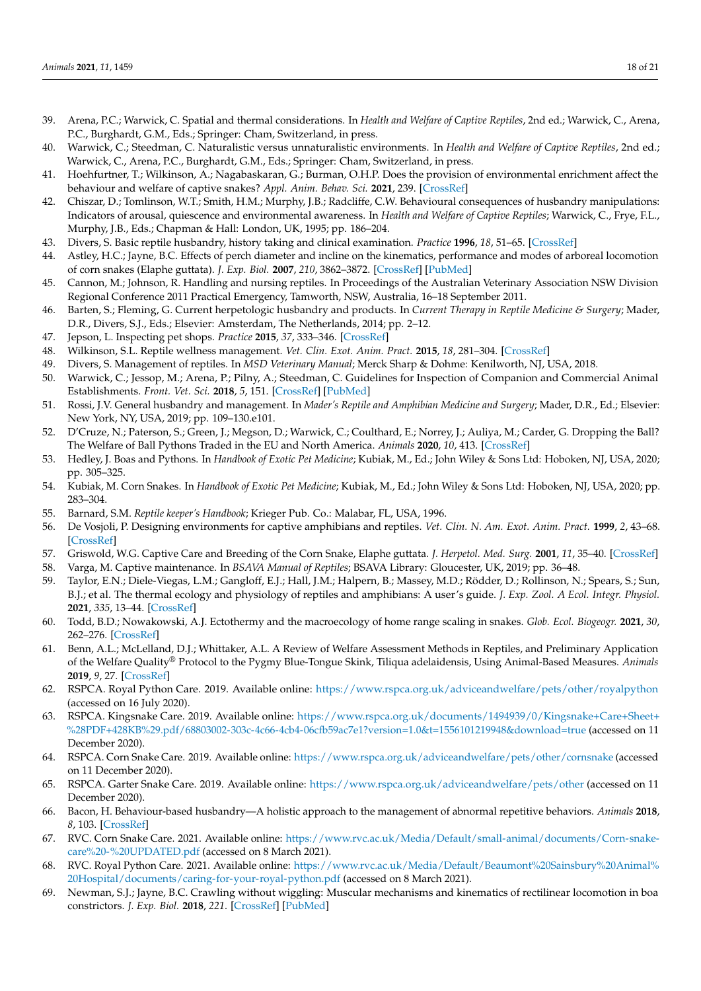- <span id="page-17-1"></span>39. Arena, P.C.; Warwick, C. Spatial and thermal considerations. In *Health and Welfare of Captive Reptiles*, 2nd ed.; Warwick, C., Arena, P.C., Burghardt, G.M., Eds.; Springer: Cham, Switzerland, in press.
- <span id="page-17-15"></span>40. Warwick, C.; Steedman, C. Naturalistic versus unnaturalistic environments. In *Health and Welfare of Captive Reptiles*, 2nd ed.; Warwick, C., Arena, P.C., Burghardt, G.M., Eds.; Springer: Cham, Switzerland, in press.
- <span id="page-17-0"></span>41. Hoehfurtner, T.; Wilkinson, A.; Nagabaskaran, G.; Burman, O.H.P. Does the provision of environmental enrichment affect the behaviour and welfare of captive snakes? *Appl. Anim. Behav. Sci.* **2021**, 239. [\[CrossRef\]](http://doi.org/10.1016/j.applanim.2021.105324)
- <span id="page-17-2"></span>42. Chiszar, D.; Tomlinson, W.T.; Smith, H.M.; Murphy, J.B.; Radcliffe, C.W. Behavioural consequences of husbandry manipulations: Indicators of arousal, quiescence and environmental awareness. In *Health and Welfare of Captive Reptiles*; Warwick, C., Frye, F.L., Murphy, J.B., Eds.; Chapman & Hall: London, UK, 1995; pp. 186–204.
- <span id="page-17-3"></span>43. Divers, S. Basic reptile husbandry, history taking and clinical examination. *Practice* **1996**, *18*, 51–65. [\[CrossRef\]](http://doi.org/10.1136/inpract.18.2.51)
- <span id="page-17-4"></span>44. Astley, H.C.; Jayne, B.C. Effects of perch diameter and incline on the kinematics, performance and modes of arboreal locomotion of corn snakes (Elaphe guttata). *J. Exp. Biol.* **2007**, *210*, 3862–3872. [\[CrossRef\]](http://doi.org/10.1242/jeb.009050) [\[PubMed\]](http://www.ncbi.nlm.nih.gov/pubmed/17951427)
- <span id="page-17-5"></span>45. Cannon, M.; Johnson, R. Handling and nursing reptiles. In Proceedings of the Australian Veterinary Association NSW Division Regional Conference 2011 Practical Emergency, Tamworth, NSW, Australia, 16–18 September 2011.
- <span id="page-17-6"></span>46. Barten, S.; Fleming, G. Current herpetologic husbandry and products. In *Current Therapy in Reptile Medicine & Surgery*; Mader, D.R., Divers, S.J., Eds.; Elsevier: Amsterdam, The Netherlands, 2014; pp. 2–12.
- <span id="page-17-7"></span>47. Jepson, L. Inspecting pet shops. *Practice* **2015**, *37*, 333–346. [\[CrossRef\]](http://doi.org/10.1136/inp.h3396)
- <span id="page-17-8"></span>48. Wilkinson, S.L. Reptile wellness management. *Vet. Clin. Exot. Anim. Pract.* **2015**, *18*, 281–304. [\[CrossRef\]](http://doi.org/10.1016/j.cvex.2015.01.001)
- <span id="page-17-9"></span>49. Divers, S. Management of reptiles. In *MSD Veterinary Manual*; Merck Sharp & Dohme: Kenilworth, NJ, USA, 2018.
- <span id="page-17-10"></span>50. Warwick, C.; Jessop, M.; Arena, P.; Pilny, A.; Steedman, C. Guidelines for Inspection of Companion and Commercial Animal Establishments. *Front. Vet. Sci.* **2018**, *5*, 151. [\[CrossRef\]](http://doi.org/10.3389/fvets.2018.00151) [\[PubMed\]](http://www.ncbi.nlm.nih.gov/pubmed/30035114)
- <span id="page-17-11"></span>51. Rossi, J.V. General husbandry and management. In *Mader's Reptile and Amphibian Medicine and Surgery*; Mader, D.R., Ed.; Elsevier: New York, NY, USA, 2019; pp. 109–130.e101.
- <span id="page-17-12"></span>52. D'Cruze, N.; Paterson, S.; Green, J.; Megson, D.; Warwick, C.; Coulthard, E.; Norrey, J.; Auliya, M.; Carder, G. Dropping the Ball? The Welfare of Ball Pythons Traded in the EU and North America. *Animals* **2020**, *10*, 413. [\[CrossRef\]](http://doi.org/10.3390/ani10030413)
- <span id="page-17-13"></span>53. Hedley, J. Boas and Pythons. In *Handbook of Exotic Pet Medicine*; Kubiak, M., Ed.; John Wiley & Sons Ltd: Hoboken, NJ, USA, 2020; pp. 305–325.
- <span id="page-17-14"></span>54. Kubiak, M. Corn Snakes. In *Handbook of Exotic Pet Medicine*; Kubiak, M., Ed.; John Wiley & Sons Ltd: Hoboken, NJ, USA, 2020; pp. 283–304.
- <span id="page-17-16"></span>55. Barnard, S.M. *Reptile keeper's Handbook*; Krieger Pub. Co.: Malabar, FL, USA, 1996.
- <span id="page-17-17"></span>56. De Vosjoli, P. Designing environments for captive amphibians and reptiles. *Vet. Clin. N. Am. Exot. Anim. Pract.* **1999**, *2*, 43–68. [\[CrossRef\]](http://doi.org/10.1016/S1094-9194(17)30139-1)
- <span id="page-17-18"></span>57. Griswold, W.G. Captive Care and Breeding of the Corn Snake, Elaphe guttata. *J. Herpetol. Med. Surg.* **2001**, *11*, 35–40. [\[CrossRef\]](http://doi.org/10.5818/1529-9651.11.4.35)
- <span id="page-17-19"></span>58. Varga, M. Captive maintenance. In *BSAVA Manual of Reptiles*; BSAVA Library: Gloucester, UK, 2019; pp. 36–48.
- <span id="page-17-20"></span>59. Taylor, E.N.; Diele-Viegas, L.M.; Gangloff, E.J.; Hall, J.M.; Halpern, B.; Massey, M.D.; Rödder, D.; Rollinson, N.; Spears, S.; Sun, B.J.; et al. The thermal ecology and physiology of reptiles and amphibians: A user's guide. *J. Exp. Zool. A Ecol. Integr. Physiol.* **2021**, *335*, 13–44. [\[CrossRef\]](http://doi.org/10.1002/jez.2396)
- <span id="page-17-21"></span>60. Todd, B.D.; Nowakowski, A.J. Ectothermy and the macroecology of home range scaling in snakes. *Glob. Ecol. Biogeogr.* **2021**, *30*, 262–276. [\[CrossRef\]](http://doi.org/10.1111/geb.13225)
- <span id="page-17-22"></span>61. Benn, A.L.; McLelland, D.J.; Whittaker, A.L. A Review of Welfare Assessment Methods in Reptiles, and Preliminary Application of the Welfare Quality® Protocol to the Pygmy Blue-Tongue Skink, Tiliqua adelaidensis, Using Animal-Based Measures. *Animals* **2019**, *9*, 27. [\[CrossRef\]](http://doi.org/10.3390/ani9010027)
- <span id="page-17-23"></span>62. RSPCA. Royal Python Care. 2019. Available online: <https://www.rspca.org.uk/adviceandwelfare/pets/other/royalpython> (accessed on 16 July 2020).
- 63. RSPCA. Kingsnake Care. 2019. Available online: [https://www.rspca.org.uk/documents/1494939/0/Kingsnake+Care+Sheet+](https://www.rspca.org.uk/documents/1494939/0/Kingsnake+Care+Sheet+%28PDF+428KB%29.pdf/68803002-303c-4c66-4cb4-06cfb59ac7e1?version=1.0&t=1556101219948&download=true) [%28PDF+428KB%29.pdf/68803002-303c-4c66-4cb4-06cfb59ac7e1?version=1.0&t=1556101219948&download=true](https://www.rspca.org.uk/documents/1494939/0/Kingsnake+Care+Sheet+%28PDF+428KB%29.pdf/68803002-303c-4c66-4cb4-06cfb59ac7e1?version=1.0&t=1556101219948&download=true) (accessed on 11 December 2020).
- 64. RSPCA. Corn Snake Care. 2019. Available online: <https://www.rspca.org.uk/adviceandwelfare/pets/other/cornsnake> (accessed on 11 December 2020).
- <span id="page-17-24"></span>65. RSPCA. Garter Snake Care. 2019. Available online: <https://www.rspca.org.uk/adviceandwelfare/pets/other> (accessed on 11 December 2020).
- <span id="page-17-25"></span>66. Bacon, H. Behaviour-based husbandry—A holistic approach to the management of abnormal repetitive behaviors. *Animals* **2018**, *8*, 103. [\[CrossRef\]](http://doi.org/10.3390/ani8070103)
- <span id="page-17-26"></span>67. RVC. Corn Snake Care. 2021. Available online: [https://www.rvc.ac.uk/Media/Default/small-animal/documents/Corn-snake](https://www.rvc.ac.uk/Media/Default/small-animal/documents/Corn-snake-care%20-%20UPDATED.pdf)[care%20-%20UPDATED.pdf](https://www.rvc.ac.uk/Media/Default/small-animal/documents/Corn-snake-care%20-%20UPDATED.pdf) (accessed on 8 March 2021).
- <span id="page-17-27"></span>68. RVC. Royal Python Care. 2021. Available online: [https://www.rvc.ac.uk/Media/Default/Beaumont%20Sainsbury%20Animal%](https://www.rvc.ac.uk/Media/Default/Beaumont%20Sainsbury%20Animal%20Hospital/documents/caring-for-your-royal-python.pdf) [20Hospital/documents/caring-for-your-royal-python.pdf](https://www.rvc.ac.uk/Media/Default/Beaumont%20Sainsbury%20Animal%20Hospital/documents/caring-for-your-royal-python.pdf) (accessed on 8 March 2021).
- <span id="page-17-28"></span>69. Newman, S.J.; Jayne, B.C. Crawling without wiggling: Muscular mechanisms and kinematics of rectilinear locomotion in boa constrictors. *J. Exp. Biol.* **2018**, *221*. [\[CrossRef\]](http://doi.org/10.1242/jeb.166199) [\[PubMed\]](http://www.ncbi.nlm.nih.gov/pubmed/29212845)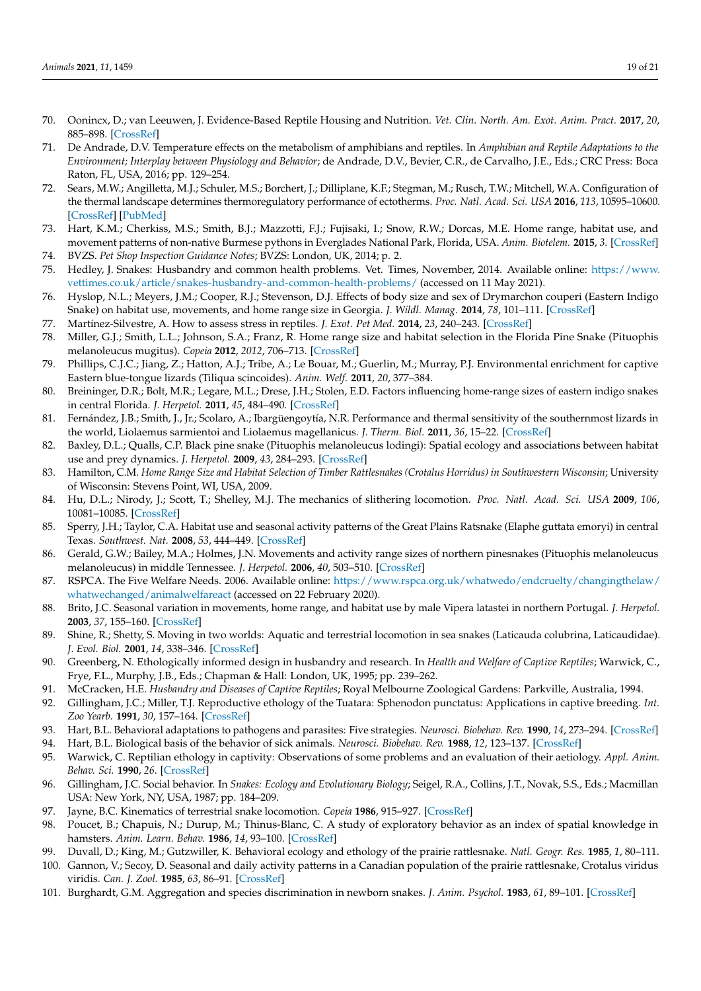- <span id="page-18-0"></span>70. Oonincx, D.; van Leeuwen, J. Evidence-Based Reptile Housing and Nutrition. *Vet. Clin. North. Am. Exot. Anim. Pract.* **2017**, *20*, 885–898. [\[CrossRef\]](http://doi.org/10.1016/j.cvex.2017.04.004)
- <span id="page-18-1"></span>71. De Andrade, D.V. Temperature effects on the metabolism of amphibians and reptiles. In *Amphibian and Reptile Adaptations to the Environment; Interplay between Physiology and Behavior*; de Andrade, D.V., Bevier, C.R., de Carvalho, J.E., Eds.; CRC Press: Boca Raton, FL, USA, 2016; pp. 129–254.
- <span id="page-18-2"></span>72. Sears, M.W.; Angilletta, M.J.; Schuler, M.S.; Borchert, J.; Dilliplane, K.F.; Stegman, M.; Rusch, T.W.; Mitchell, W.A. Configuration of the thermal landscape determines thermoregulatory performance of ectotherms. *Proc. Natl. Acad. Sci. USA* **2016**, *113*, 10595–10600. [\[CrossRef\]](http://doi.org/10.1073/pnas.1604824113) [\[PubMed\]](http://www.ncbi.nlm.nih.gov/pubmed/27601639)
- <span id="page-18-3"></span>73. Hart, K.M.; Cherkiss, M.S.; Smith, B.J.; Mazzotti, F.J.; Fujisaki, I.; Snow, R.W.; Dorcas, M.E. Home range, habitat use, and movement patterns of non-native Burmese pythons in Everglades National Park, Florida, USA. *Anim. Biotelem.* **2015**, *3*. [\[CrossRef\]](http://doi.org/10.1186/s40317-015-0022-2)
- <span id="page-18-4"></span>74. BVZS. *Pet Shop Inspection Guidance Notes*; BVZS: London, UK, 2014; p. 2.
- <span id="page-18-5"></span>75. Hedley, J. Snakes: Husbandry and common health problems. Vet. Times, November, 2014. Available online: [https://www.](https://www.vettimes.co.uk/article/snakes-husbandry-and-common-health-problems/) [vettimes.co.uk/article/snakes-husbandry-and-common-health-problems/](https://www.vettimes.co.uk/article/snakes-husbandry-and-common-health-problems/) (accessed on 11 May 2021).
- <span id="page-18-6"></span>76. Hyslop, N.L.; Meyers, J.M.; Cooper, R.J.; Stevenson, D.J. Effects of body size and sex of Drymarchon couperi (Eastern Indigo Snake) on habitat use, movements, and home range size in Georgia. *J. Wildl. Manag.* **2014**, *78*, 101–111. [\[CrossRef\]](http://doi.org/10.1002/jwmg.645)
- <span id="page-18-7"></span>77. Martínez-Silvestre, A. How to assess stress in reptiles. *J. Exot. Pet Med.* **2014**, *23*, 240–243. [\[CrossRef\]](http://doi.org/10.1053/j.jepm.2014.06.004)
- <span id="page-18-8"></span>78. Miller, G.J.; Smith, L.L.; Johnson, S.A.; Franz, R. Home range size and habitat selection in the Florida Pine Snake (Pituophis melanoleucus mugitus). *Copeia* **2012**, *2012*, 706–713. [\[CrossRef\]](http://doi.org/10.1643/CE-12-054)
- <span id="page-18-9"></span>79. Phillips, C.J.C.; Jiang, Z.; Hatton, A.J.; Tribe, A.; Le Bouar, M.; Guerlin, M.; Murray, P.J. Environmental enrichment for captive Eastern blue-tongue lizards (Tiliqua scincoides). *Anim. Welf.* **2011**, *20*, 377–384.
- <span id="page-18-10"></span>80. Breininger, D.R.; Bolt, M.R.; Legare, M.L.; Drese, J.H.; Stolen, E.D. Factors influencing home-range sizes of eastern indigo snakes in central Florida. *J. Herpetol.* **2011**, *45*, 484–490. [\[CrossRef\]](http://doi.org/10.1670/10-176.1)
- <span id="page-18-11"></span>81. Fernández, J.B.; Smith, J., Jr.; Scolaro, A.; Ibargüengoytía, N.R. Performance and thermal sensitivity of the southernmost lizards in the world, Liolaemus sarmientoi and Liolaemus magellanicus. *J. Therm. Biol.* **2011**, *36*, 15–22. [\[CrossRef\]](http://doi.org/10.1016/j.jtherbio.2010.09.006)
- <span id="page-18-12"></span>82. Baxley, D.L.; Qualls, C.P. Black pine snake (Pituophis melanoleucus lodingi): Spatial ecology and associations between habitat use and prey dynamics. *J. Herpetol.* **2009**, *43*, 284–293. [\[CrossRef\]](http://doi.org/10.1670/08-074R1.1)
- <span id="page-18-13"></span>83. Hamilton, C.M. *Home Range Size and Habitat Selection of Timber Rattlesnakes (Crotalus Horridus) in Southwestern Wisconsin*; University of Wisconsin: Stevens Point, WI, USA, 2009.
- <span id="page-18-14"></span>84. Hu, D.L.; Nirody, J.; Scott, T.; Shelley, M.J. The mechanics of slithering locomotion. *Proc. Natl. Acad. Sci. USA* **2009**, *106*, 10081–10085. [\[CrossRef\]](http://doi.org/10.1073/pnas.0812533106)
- <span id="page-18-15"></span>85. Sperry, J.H.; Taylor, C.A. Habitat use and seasonal activity patterns of the Great Plains Ratsnake (Elaphe guttata emoryi) in central Texas. *Southwest. Nat.* **2008**, *53*, 444–449. [\[CrossRef\]](http://doi.org/10.1894/PAS-05.1)
- <span id="page-18-16"></span>86. Gerald, G.W.; Bailey, M.A.; Holmes, J.N. Movements and activity range sizes of northern pinesnakes (Pituophis melanoleucus melanoleucus) in middle Tennessee. *J. Herpetol.* **2006**, *40*, 503–510. [\[CrossRef\]](http://doi.org/10.1670/0022-1511(2006)40[503:MAARSO]2.0.CO;2)
- <span id="page-18-17"></span>87. RSPCA. The Five Welfare Needs. 2006. Available online: [https://www.rspca.org.uk/whatwedo/endcruelty/changingthelaw/](https://www.rspca.org.uk/whatwedo/endcruelty/changingthelaw/whatwechanged/animalwelfareact) [whatwechanged/animalwelfareact](https://www.rspca.org.uk/whatwedo/endcruelty/changingthelaw/whatwechanged/animalwelfareact) (accessed on 22 February 2020).
- <span id="page-18-18"></span>88. Brito, J.C. Seasonal variation in movements, home range, and habitat use by male Vipera latastei in northern Portugal. *J. Herpetol.* **2003**, *37*, 155–160. [\[CrossRef\]](http://doi.org/10.1670/0022-1511(2003)037[0155:SVIMHR]2.0.CO;2)
- <span id="page-18-19"></span>89. Shine, R.; Shetty, S. Moving in two worlds: Aquatic and terrestrial locomotion in sea snakes (Laticauda colubrina, Laticaudidae). *J. Evol. Biol.* **2001**, *14*, 338–346. [\[CrossRef\]](http://doi.org/10.1046/j.1420-9101.2001.00265.x)
- <span id="page-18-20"></span>90. Greenberg, N. Ethologically informed design in husbandry and research. In *Health and Welfare of Captive Reptiles*; Warwick, C., Frye, F.L., Murphy, J.B., Eds.; Chapman & Hall: London, UK, 1995; pp. 239–262.
- <span id="page-18-21"></span>91. McCracken, H.E. *Husbandry and Diseases of Captive Reptiles*; Royal Melbourne Zoological Gardens: Parkville, Australia, 1994.
- <span id="page-18-22"></span>92. Gillingham, J.C.; Miller, T.J. Reproductive ethology of the Tuatara: Sphenodon punctatus: Applications in captive breeding. *Int. Zoo Yearb.* **1991**, *30*, 157–164. [\[CrossRef\]](http://doi.org/10.1111/j.1748-1090.1991.tb03479.x)
- <span id="page-18-23"></span>93. Hart, B.L. Behavioral adaptations to pathogens and parasites: Five strategies. *Neurosci. Biobehav. Rev.* **1990**, *14*, 273–294. [\[CrossRef\]](http://doi.org/10.1016/S0149-7634(05)80038-7)
- <span id="page-18-24"></span>94. Hart, B.L. Biological basis of the behavior of sick animals. *Neurosci. Biobehav. Rev.* **1988**, *12*, 123–137. [\[CrossRef\]](http://doi.org/10.1016/S0149-7634(88)80004-6)
- <span id="page-18-25"></span>95. Warwick, C. Reptilian ethology in captivity: Observations of some problems and an evaluation of their aetiology. *Appl. Anim. Behav. Sci.* **1990**, *26*. [\[CrossRef\]](http://doi.org/10.1016/0168-1591(90)90082-O)
- <span id="page-18-26"></span>96. Gillingham, J.C. Social behavior. In *Snakes: Ecology and Evolutionary Biology*; Seigel, R.A., Collins, J.T., Novak, S.S., Eds.; Macmillan USA: New York, NY, USA, 1987; pp. 184–209.
- <span id="page-18-27"></span>97. Jayne, B.C. Kinematics of terrestrial snake locomotion. *Copeia* **1986**, 915–927. [\[CrossRef\]](http://doi.org/10.2307/1445288)
- <span id="page-18-28"></span>98. Poucet, B.; Chapuis, N.; Durup, M.; Thinus-Blanc, C. A study of exploratory behavior as an index of spatial knowledge in hamsters. *Anim. Learn. Behav.* **1986**, *14*, 93–100. [\[CrossRef\]](http://doi.org/10.3758/BF03200043)
- <span id="page-18-29"></span>99. Duvall, D.; King, M.; Gutzwiller, K. Behavioral ecology and ethology of the prairie rattlesnake. *Natl. Geogr. Res.* **1985**, *1*, 80–111.
- <span id="page-18-30"></span>100. Gannon, V.; Secoy, D. Seasonal and daily activity patterns in a Canadian population of the prairie rattlesnake, Crotalus viridus viridis. *Can. J. Zool.* **1985**, *63*, 86–91. [\[CrossRef\]](http://doi.org/10.1139/z85-016)
- <span id="page-18-31"></span>101. Burghardt, G.M. Aggregation and species discrimination in newborn snakes. *J. Anim. Psychol.* **1983**, *61*, 89–101. [\[CrossRef\]](http://doi.org/10.1111/j.1439-0310.1983.tb01330.x)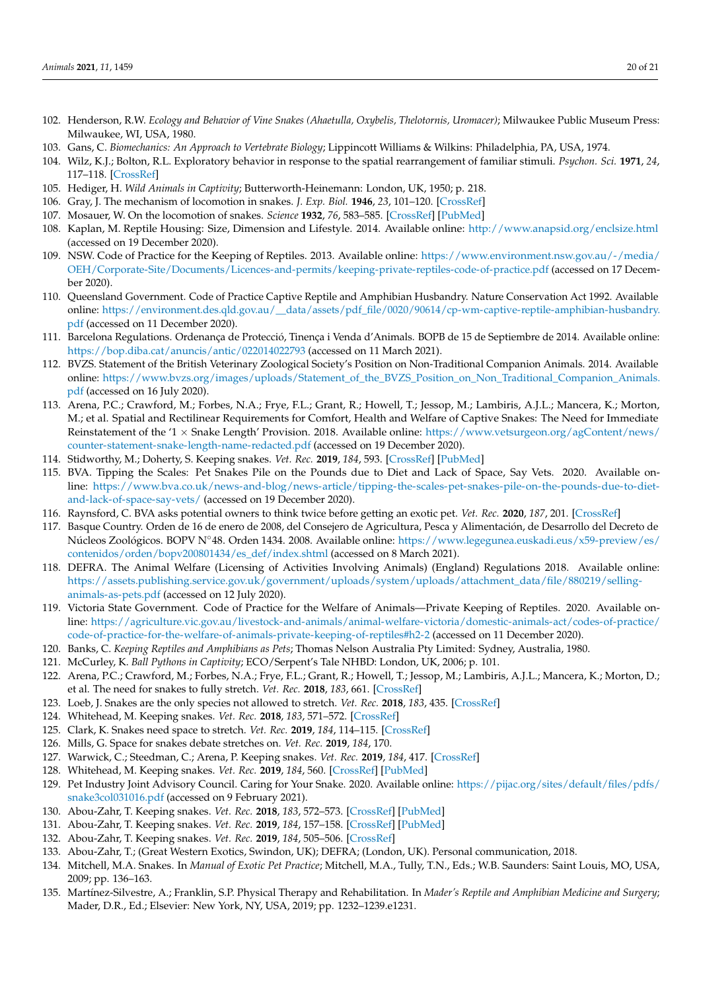- <span id="page-19-0"></span>102. Henderson, R.W. *Ecology and Behavior of Vine Snakes (Ahaetulla, Oxybelis, Thelotornis, Uromacer)*; Milwaukee Public Museum Press: Milwaukee, WI, USA, 1980.
- <span id="page-19-1"></span>103. Gans, C. *Biomechanics: An Approach to Vertebrate Biology*; Lippincott Williams & Wilkins: Philadelphia, PA, USA, 1974.
- <span id="page-19-2"></span>104. Wilz, K.J.; Bolton, R.L. Exploratory behavior in response to the spatial rearrangement of familiar stimuli. *Psychon. Sci.* **1971**, *24*, 117–118. [\[CrossRef\]](http://doi.org/10.3758/BF03331781)
- <span id="page-19-3"></span>105. Hediger, H. *Wild Animals in Captivity*; Butterworth-Heinemann: London, UK, 1950; p. 218.
- <span id="page-19-4"></span>106. Gray, J. The mechanism of locomotion in snakes. *J. Exp. Biol.* **1946**, *23*, 101–120. [\[CrossRef\]](http://doi.org/10.1242/jeb.23.2.101)
- <span id="page-19-5"></span>107. Mosauer, W. On the locomotion of snakes. *Science* **1932**, *76*, 583–585. [\[CrossRef\]](http://doi.org/10.1126/science.76.1982.583) [\[PubMed\]](http://www.ncbi.nlm.nih.gov/pubmed/17842441)
- <span id="page-19-6"></span>108. Kaplan, M. Reptile Housing: Size, Dimension and Lifestyle. 2014. Available online: <http://www.anapsid.org/enclsize.html> (accessed on 19 December 2020).
- <span id="page-19-7"></span>109. NSW. Code of Practice for the Keeping of Reptiles. 2013. Available online: [https://www.environment.nsw.gov.au/-/media/](https://www.environment.nsw.gov.au/-/media/OEH/Corporate-Site/Documents/Licences-and-permits/keeping-private-reptiles-code-of-practice.pdf) [OEH/Corporate-Site/Documents/Licences-and-permits/keeping-private-reptiles-code-of-practice.pdf](https://www.environment.nsw.gov.au/-/media/OEH/Corporate-Site/Documents/Licences-and-permits/keeping-private-reptiles-code-of-practice.pdf) (accessed on 17 December 2020).
- <span id="page-19-8"></span>110. Queensland Government. Code of Practice Captive Reptile and Amphibian Husbandry. Nature Conservation Act 1992. Available online: [https://environment.des.qld.gov.au/\\_\\_data/assets/pdf\\_file/0020/90614/cp-wm-captive-reptile-amphibian-husbandry.](https://environment.des.qld.gov.au/__data/assets/pdf_file/0020/90614/cp-wm-captive-reptile-amphibian-husbandry.pdf) [pdf](https://environment.des.qld.gov.au/__data/assets/pdf_file/0020/90614/cp-wm-captive-reptile-amphibian-husbandry.pdf) (accessed on 11 December 2020).
- <span id="page-19-9"></span>111. Barcelona Regulations. Ordenança de Protecció, Tinença i Venda d'Animals. BOPB de 15 de Septiembre de 2014. Available online: <https://bop.diba.cat/anuncis/antic/022014022793> (accessed on 11 March 2021).
- <span id="page-19-10"></span>112. BVZS. Statement of the British Veterinary Zoological Society's Position on Non-Traditional Companion Animals. 2014. Available online: [https://www.bvzs.org/images/uploads/Statement\\_of\\_the\\_BVZS\\_Position\\_on\\_Non\\_Traditional\\_Companion\\_Animals.](https://www.bvzs.org/images/uploads/Statement_of_the_BVZS_Position_on_Non_Traditional_Companion_Animals.pdf) [pdf](https://www.bvzs.org/images/uploads/Statement_of_the_BVZS_Position_on_Non_Traditional_Companion_Animals.pdf) (accessed on 16 July 2020).
- <span id="page-19-11"></span>113. Arena, P.C.; Crawford, M.; Forbes, N.A.; Frye, F.L.; Grant, R.; Howell, T.; Jessop, M.; Lambiris, A.J.L.; Mancera, K.; Morton, M.; et al. Spatial and Rectilinear Requirements for Comfort, Health and Welfare of Captive Snakes: The Need for Immediate Reinstatement of the '1 × Snake Length' Provision. 2018. Available online: [https://www.vetsurgeon.org/agContent/news/](https://www.vetsurgeon.org/agContent/news/counter-statement-snake-length-name-redacted.pdf) [counter-statement-snake-length-name-redacted.pdf](https://www.vetsurgeon.org/agContent/news/counter-statement-snake-length-name-redacted.pdf) (accessed on 19 December 2020).
- <span id="page-19-12"></span>114. Stidworthy, M.; Doherty, S. Keeping snakes. *Vet. Rec.* **2019**, *184*, 593. [\[CrossRef\]](http://doi.org/10.1136/vr.l2059) [\[PubMed\]](http://www.ncbi.nlm.nih.gov/pubmed/31073004)
- <span id="page-19-13"></span>115. BVA. Tipping the Scales: Pet Snakes Pile on the Pounds due to Diet and Lack of Space, Say Vets. 2020. Available online: [https://www.bva.co.uk/news-and-blog/news-article/tipping-the-scales-pet-snakes-pile-on-the-pounds-due-to-diet](https://www.bva.co.uk/news-and-blog/news-article/tipping-the-scales-pet-snakes-pile-on-the-pounds-due-to-diet-and-lack-of-space-say-vets/)[and-lack-of-space-say-vets/](https://www.bva.co.uk/news-and-blog/news-article/tipping-the-scales-pet-snakes-pile-on-the-pounds-due-to-diet-and-lack-of-space-say-vets/) (accessed on 19 December 2020).
- <span id="page-19-14"></span>116. Raynsford, C. BVA asks potential owners to think twice before getting an exotic pet. *Vet. Rec.* **2020**, *187*, 201. [\[CrossRef\]](http://doi.org/10.1136/vr.m3457)
- <span id="page-19-15"></span>117. Basque Country. Orden de 16 de enero de 2008, del Consejero de Agricultura, Pesca y Alimentación, de Desarrollo del Decreto de Núcleos Zoológicos. BOPV N◦48. Orden 1434. 2008. Available online: [https://www.legegunea.euskadi.eus/x59-preview/es/](https://www.legegunea.euskadi.eus/x59-preview/es/contenidos/orden/bopv200801434/es_def/index.shtml) [contenidos/orden/bopv200801434/es\\_def/index.shtml](https://www.legegunea.euskadi.eus/x59-preview/es/contenidos/orden/bopv200801434/es_def/index.shtml) (accessed on 8 March 2021).
- <span id="page-19-16"></span>118. DEFRA. The Animal Welfare (Licensing of Activities Involving Animals) (England) Regulations 2018. Available online: [https://assets.publishing.service.gov.uk/government/uploads/system/uploads/attachment\\_data/file/880219/selling](https://assets.publishing.service.gov.uk/government/uploads/system/uploads/attachment_data/file/880219/selling-animals-as-pets.pdf)[animals-as-pets.pdf](https://assets.publishing.service.gov.uk/government/uploads/system/uploads/attachment_data/file/880219/selling-animals-as-pets.pdf) (accessed on 12 July 2020).
- <span id="page-19-17"></span>119. Victoria State Government. Code of Practice for the Welfare of Animals—Private Keeping of Reptiles. 2020. Available online: [https://agriculture.vic.gov.au/livestock-and-animals/animal-welfare-victoria/domestic-animals-act/codes-of-practice/](https://agriculture.vic.gov.au/livestock-and-animals/animal-welfare-victoria/domestic-animals-act/codes-of-practice/code-of-practice-for-the-welfare-of-animals-private-keeping-of-reptiles#h2-2) [code-of-practice-for-the-welfare-of-animals-private-keeping-of-reptiles#h2-2](https://agriculture.vic.gov.au/livestock-and-animals/animal-welfare-victoria/domestic-animals-act/codes-of-practice/code-of-practice-for-the-welfare-of-animals-private-keeping-of-reptiles#h2-2) (accessed on 11 December 2020).
- <span id="page-19-18"></span>120. Banks, C. *Keeping Reptiles and Amphibians as Pets*; Thomas Nelson Australia Pty Limited: Sydney, Australia, 1980.
- <span id="page-19-19"></span>121. McCurley, K. *Ball Pythons in Captivity*; ECO/Serpent's Tale NHBD: London, UK, 2006; p. 101.
- <span id="page-19-20"></span>122. Arena, P.C.; Crawford, M.; Forbes, N.A.; Frye, F.L.; Grant, R.; Howell, T.; Jessop, M.; Lambiris, A.J.L.; Mancera, K.; Morton, D.; et al. The need for snakes to fully stretch. *Vet. Rec.* **2018**, *183*, 661. [\[CrossRef\]](http://doi.org/10.1136/vr.k5023)
- <span id="page-19-25"></span>123. Loeb, J. Snakes are the only species not allowed to stretch. *Vet. Rec.* **2018**, *183*, 435. [\[CrossRef\]](http://doi.org/10.1136/vr.k4280)
- 124. Whitehead, M. Keeping snakes. *Vet. Rec.* **2018**, *183*, 571–572. [\[CrossRef\]](http://doi.org/10.1136/vr.k4715)
- 125. Clark, K. Snakes need space to stretch. *Vet. Rec.* **2019**, *184*, 114–115. [\[CrossRef\]](http://doi.org/10.1136/vr.l378)
- 126. Mills, G. Space for snakes debate stretches on. *Vet. Rec.* **2019**, *184*, 170.
- 127. Warwick, C.; Steedman, C.; Arena, P. Keeping snakes. *Vet. Rec.* **2019**, *184*, 417. [\[CrossRef\]](http://doi.org/10.1136/vr.l1387)
- <span id="page-19-27"></span>128. Whitehead, M. Keeping snakes. *Vet. Rec.* **2019**, *184*, 560. [\[CrossRef\]](http://doi.org/10.1136/vr.l1955) [\[PubMed\]](http://www.ncbi.nlm.nih.gov/pubmed/31048527)
- <span id="page-19-21"></span>129. Pet Industry Joint Advisory Council. Caring for Your Snake. 2020. Available online: [https://pijac.org/sites/default/files/pdfs/](https://pijac.org/sites/default/files/pdfs/snake3col031016.pdf) [snake3col031016.pdf](https://pijac.org/sites/default/files/pdfs/snake3col031016.pdf) (accessed on 9 February 2021).
- <span id="page-19-22"></span>130. Abou-Zahr, T. Keeping snakes. *Vet. Rec.* **2018**, *183*, 572–573. [\[CrossRef\]](http://doi.org/10.1136/vr.k4716) [\[PubMed\]](http://www.ncbi.nlm.nih.gov/pubmed/30413584)
- 131. Abou-Zahr, T. Keeping snakes. *Vet. Rec.* **2019**, *184*, 157–158. [\[CrossRef\]](http://doi.org/10.1136/vr.l1446) [\[PubMed\]](http://www.ncbi.nlm.nih.gov/pubmed/30705213)
- 132. Abou-Zahr, T. Keeping snakes. *Vet. Rec.* **2019**, *184*, 505–506. [\[CrossRef\]](http://doi.org/10.1136/vr.l1796)
- <span id="page-19-23"></span>133. Abou-Zahr, T.; (Great Western Exotics, Swindon, UK); DEFRA; (London, UK). Personal communication, 2018.
- <span id="page-19-24"></span>134. Mitchell, M.A. Snakes. In *Manual of Exotic Pet Practice*; Mitchell, M.A., Tully, T.N., Eds.; W.B. Saunders: Saint Louis, MO, USA, 2009; pp. 136–163.
- <span id="page-19-26"></span>135. Martínez-Silvestre, A.; Franklin, S.P. Physical Therapy and Rehabilitation. In *Mader's Reptile and Amphibian Medicine and Surgery*; Mader, D.R., Ed.; Elsevier: New York, NY, USA, 2019; pp. 1232–1239.e1231.